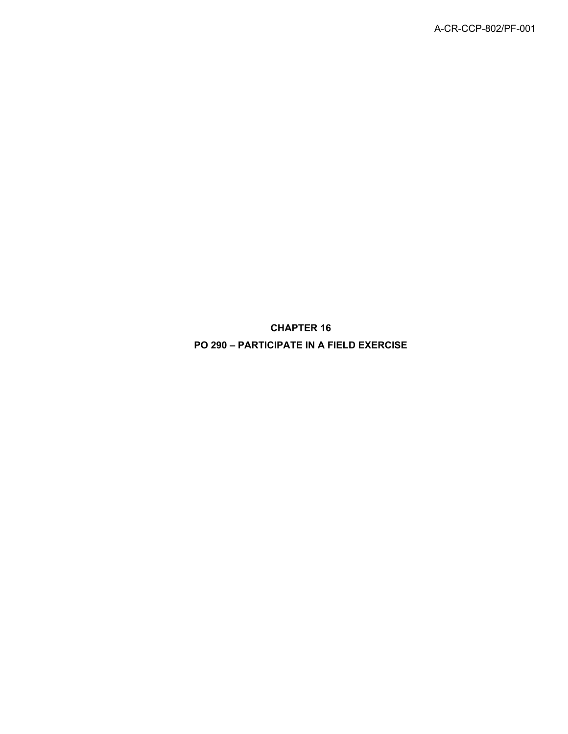CHAPTER 16 PO 290 – PARTICIPATE IN A FIELD EXERCISE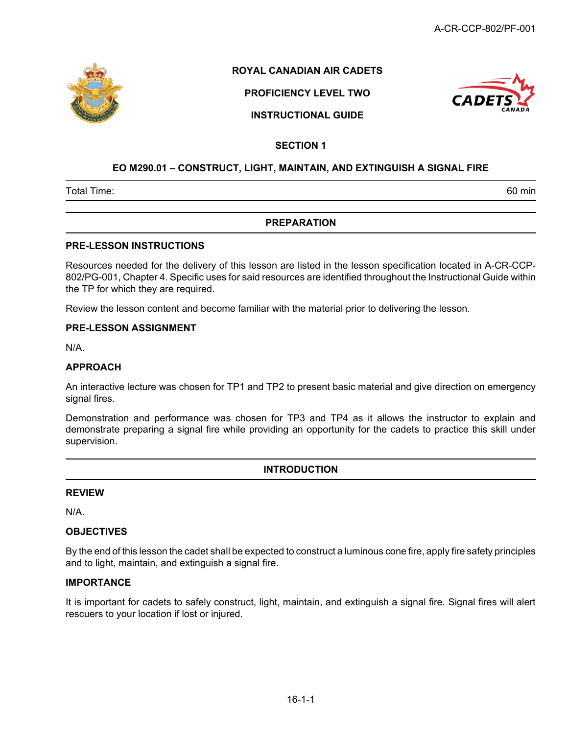

# ROYAL CANADIAN AIR CADETS

PROFICIENCY LEVEL TWO



INSTRUCTIONAL GUIDE

## SECTION 1

# EO M290.01 – CONSTRUCT, LIGHT, MAINTAIN, AND EXTINGUISH A SIGNAL FIRE

Total Time: 60 min

## PREPARATION

### PRE-LESSON INSTRUCTIONS

Resources needed for the delivery of this lesson are listed in the lesson specification located in A-CR-CCP-802/PG-001, Chapter 4. Specific uses for said resources are identified throughout the Instructional Guide within the TP for which they are required.

Review the lesson content and become familiar with the material prior to delivering the lesson.

### PRE-LESSON ASSIGNMENT

N/A.

### APPROACH

An interactive lecture was chosen for TP1 and TP2 to present basic material and give direction on emergency signal fires.

Demonstration and performance was chosen for TP3 and TP4 as it allows the instructor to explain and demonstrate preparing a signal fire while providing an opportunity for the cadets to practice this skill under supervision.

## INTRODUCTION

#### REVIEW

N/A.

### **OBJECTIVES**

By the end of this lesson the cadet shall be expected to construct a luminous cone fire, apply fire safety principles and to light, maintain, and extinguish a signal fire.

## IMPORTANCE

It is important for cadets to safely construct, light, maintain, and extinguish a signal fire. Signal fires will alert rescuers to your location if lost or injured.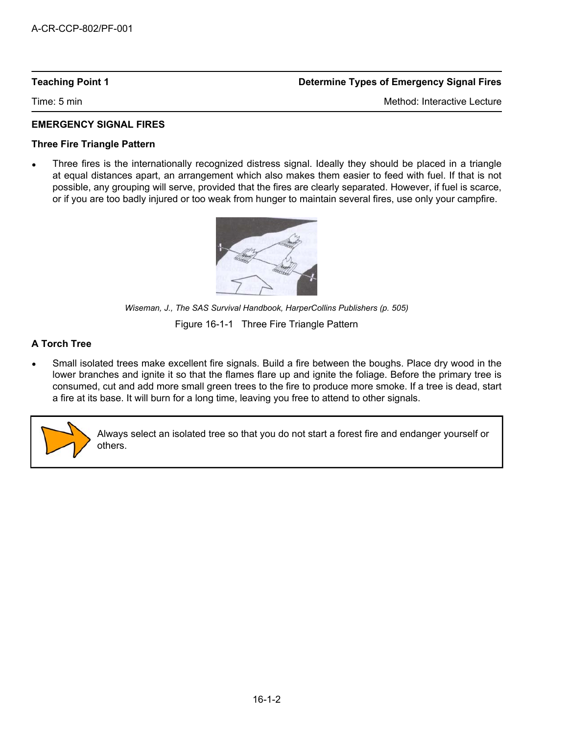Time: 5 min Method: Interactive Lecture Company of Time: 5 min Method: Interactive Lecture

# EMERGENCY SIGNAL FIRES

## Three Fire Triangle Pattern

Three fires is the internationally recognized distress signal. Ideally they should be placed in a triangle at equal distances apart, an arrangement which also makes them easier to feed with fuel. If that is not possible, any grouping will serve, provided that the fires are clearly separated. However, if fuel is scarce, or if you are too badly injured or too weak from hunger to maintain several fires, use only your campfire.



Wiseman, J., The SAS Survival Handbook, HarperCollins Publishers (p. 505) Figure 16-1-1 Three Fire Triangle Pattern

# A Torch Tree

Small isolated trees make excellent fire signals. Build a fire between the boughs. Place dry wood in the lower branches and ignite it so that the flames flare up and ignite the foliage. Before the primary tree is consumed, cut and add more small green trees to the fire to produce more smoke. If a tree is dead, start a fire at its base. It will burn for a long time, leaving you free to attend to other signals.



Always select an isolated tree so that you do not start a forest fire and endanger yourself or others.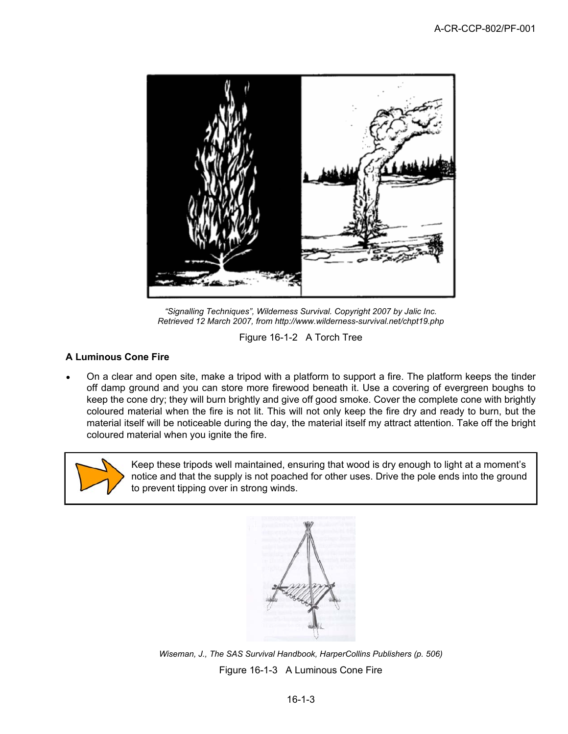

"Signalling Techniques", Wilderness Survival. Copyright 2007 by Jalic Inc. Retrieved 12 March 2007, from http://www.wilderness-survival.net/chpt19.php

Figure 16-1-2 A Torch Tree

# A Luminous Cone Fire

On a clear and open site, make a tripod with a platform to support a fire. The platform keeps the tinder off damp ground and you can store more firewood beneath it. Use a covering of evergreen boughs to keep the cone dry; they will burn brightly and give off good smoke. Cover the complete cone with brightly coloured material when the fire is not lit. This will not only keep the fire dry and ready to burn, but the material itself will be noticeable during the day, the material itself my attract attention. Take off the bright coloured material when you ignite the fire.



Keep these tripods well maintained, ensuring that wood is dry enough to light at a moment's notice and that the supply is not poached for other uses. Drive the pole ends into the ground to prevent tipping over in strong winds.



Wiseman, J., The SAS Survival Handbook, HarperCollins Publishers (p. 506) Figure 16-1-3 A Luminous Cone Fire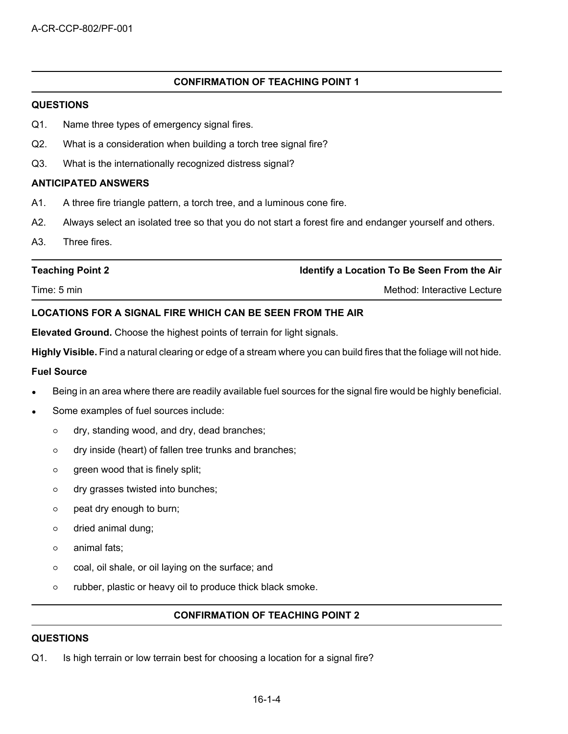# CONFIRMATION OF TEACHING POINT 1

## QUESTIONS

- Q1. Name three types of emergency signal fires.
- Q2. What is a consideration when building a torch tree signal fire?
- Q3. What is the internationally recognized distress signal?

# ANTICIPATED ANSWERS

- A1. A three fire triangle pattern, a torch tree, and a luminous cone fire.
- A2. Always select an isolated tree so that you do not start a forest fire and endanger yourself and others.
- A3. Three fires.

Teaching Point 2 **Identify a Location To Be Seen From the Air** 

Time: 5 min Method: Interactive Lecture Company of Time: 5 min Method: Interactive Lecture

# LOCATIONS FOR A SIGNAL FIRE WHICH CAN BE SEEN FROM THE AIR

Elevated Ground. Choose the highest points of terrain for light signals.

Highly Visible. Find a natural clearing or edge of a stream where you can build fires that the foliage will not hide.

## Fuel Source

- Being in an area where there are readily available fuel sources for the signal fire would be highly beneficial.
- Some examples of fuel sources include:
	- dry, standing wood, and dry, dead branches;  $\circ$
	- dry inside (heart) of fallen tree trunks and branches;  $\circ$
	- green wood that is finely split;  $\circ$
	- dry grasses twisted into bunches;  $\circ$
	- peat dry enough to burn;  $\circ$
	- $\circ$ dried animal dung;
	- animal fats;  $\circ$
	- coal, oil shale, or oil laying on the surface; and  $\circ$
	- rubber, plastic or heavy oil to produce thick black smoke.  $\circ$

# CONFIRMATION OF TEACHING POINT 2

## **QUESTIONS**

Q1. Is high terrain or low terrain best for choosing a location for a signal fire?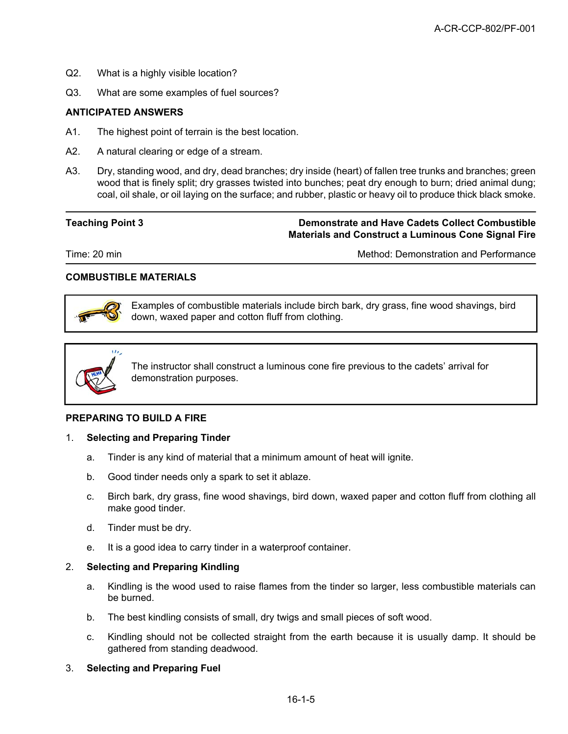- Q2. What is a highly visible location?
- Q3. What are some examples of fuel sources?

## ANTICIPATED ANSWERS

- A1. The highest point of terrain is the best location.
- A2. A natural clearing or edge of a stream.
- A3. Dry, standing wood, and dry, dead branches; dry inside (heart) of fallen tree trunks and branches; green wood that is finely split; dry grasses twisted into bunches; peat dry enough to burn; dried animal dung; coal, oil shale, or oil laying on the surface; and rubber, plastic or heavy oil to produce thick black smoke.

## Teaching Point 3 Demonstrate and Have Cadets Collect Combustible Materials and Construct a Luminous Cone Signal Fire

Time: 20 min Method: Demonstration and Performance

## COMBUSTIBLE MATERIALS



Examples of combustible materials include birch bark, dry grass, fine wood shavings, bird down, waxed paper and cotton fluff from clothing.



The instructor shall construct a luminous cone fire previous to the cadets' arrival for demonstration purposes.

## PREPARING TO BUILD A FIRE

#### 1. Selecting and Preparing Tinder

- a. Tinder is any kind of material that a minimum amount of heat will ignite.
- b. Good tinder needs only a spark to set it ablaze.
- c. Birch bark, dry grass, fine wood shavings, bird down, waxed paper and cotton fluff from clothing all make good tinder.
- d. Tinder must be dry.
- e. It is a good idea to carry tinder in a waterproof container.

#### 2. Selecting and Preparing Kindling

- a. Kindling is the wood used to raise flames from the tinder so larger, less combustible materials can be burned.
- b. The best kindling consists of small, dry twigs and small pieces of soft wood.
- c. Kindling should not be collected straight from the earth because it is usually damp. It should be gathered from standing deadwood.
- 3. Selecting and Preparing Fuel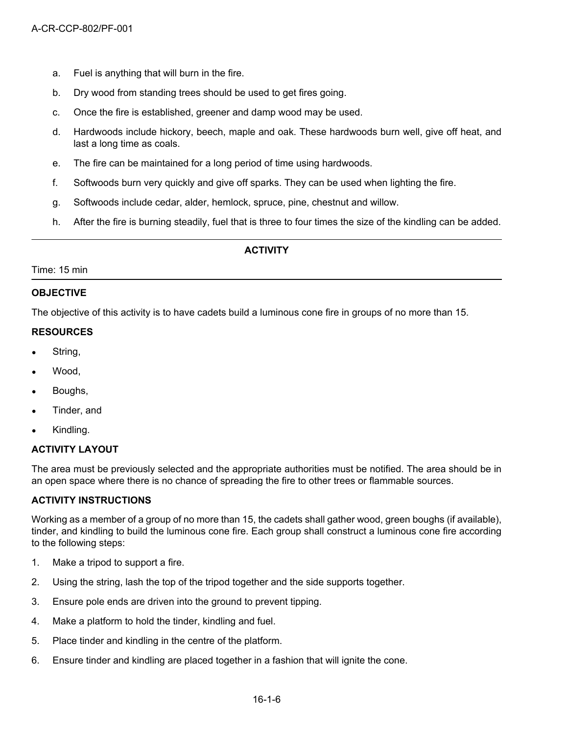- a. Fuel is anything that will burn in the fire.
- b. Dry wood from standing trees should be used to get fires going.
- c. Once the fire is established, greener and damp wood may be used.
- d. Hardwoods include hickory, beech, maple and oak. These hardwoods burn well, give off heat, and last a long time as coals.
- e. The fire can be maintained for a long period of time using hardwoods.
- f. Softwoods burn very quickly and give off sparks. They can be used when lighting the fire.
- g. Softwoods include cedar, alder, hemlock, spruce, pine, chestnut and willow.
- h. After the fire is burning steadily, fuel that is three to four times the size of the kindling can be added.

# **ACTIVITY**

Time: 15 min

## **OBJECTIVE**

The objective of this activity is to have cadets build a luminous cone fire in groups of no more than 15.

### RESOURCES

- String,
- Wood,
- Boughs,
- Tinder, and
- Kindling.

# ACTIVITY LAYOUT

The area must be previously selected and the appropriate authorities must be notified. The area should be in an open space where there is no chance of spreading the fire to other trees or flammable sources.

## ACTIVITY INSTRUCTIONS

Working as a member of a group of no more than 15, the cadets shall gather wood, green boughs (if available), tinder, and kindling to build the luminous cone fire. Each group shall construct a luminous cone fire according to the following steps:

- 1. Make a tripod to support a fire.
- 2. Using the string, lash the top of the tripod together and the side supports together.
- 3. Ensure pole ends are driven into the ground to prevent tipping.
- 4. Make a platform to hold the tinder, kindling and fuel.
- 5. Place tinder and kindling in the centre of the platform.
- 6. Ensure tinder and kindling are placed together in a fashion that will ignite the cone.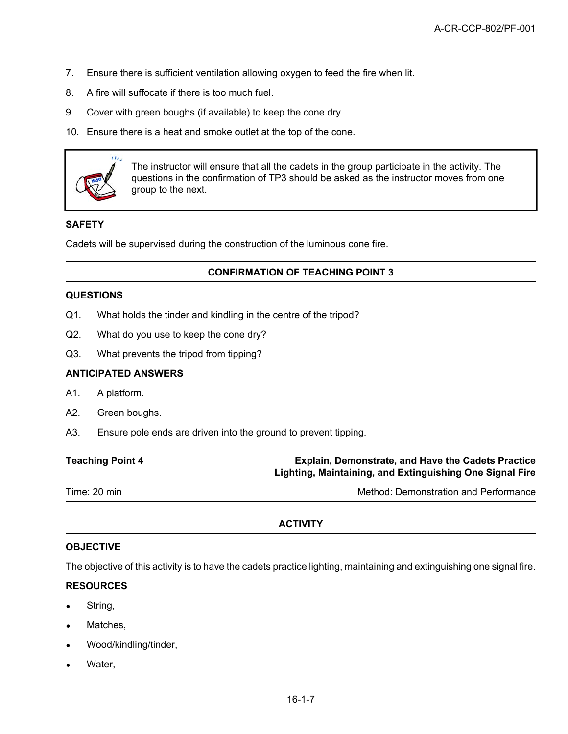- 7. Ensure there is sufficient ventilation allowing oxygen to feed the fire when lit.
- 8. A fire will suffocate if there is too much fuel.
- 9. Cover with green boughs (if available) to keep the cone dry.
- 10. Ensure there is a heat and smoke outlet at the top of the cone.



The instructor will ensure that all the cadets in the group participate in the activity. The questions in the confirmation of TP3 should be asked as the instructor moves from one group to the next.

## **SAFETY**

Cadets will be supervised during the construction of the luminous cone fire.

### CONFIRMATION OF TEACHING POINT 3

### **QUESTIONS**

- Q1. What holds the tinder and kindling in the centre of the tripod?
- Q2. What do you use to keep the cone dry?
- Q3. What prevents the tripod from tipping?

### ANTICIPATED ANSWERS

- A1. A platform.
- A2. Green boughs.
- A3. Ensure pole ends are driven into the ground to prevent tipping.

## Teaching Point 4 Explain, Demonstrate, and Have the Cadets Practice Lighting, Maintaining, and Extinguishing One Signal Fire

Time: 20 min Method: Demonstration and Performance

## **ACTIVITY**

## **OBJECTIVE**

The objective of this activity is to have the cadets practice lighting, maintaining and extinguishing one signal fire.

## **RESOURCES**

- String,
- Matches,
- Wood/kindling/tinder,
- Water.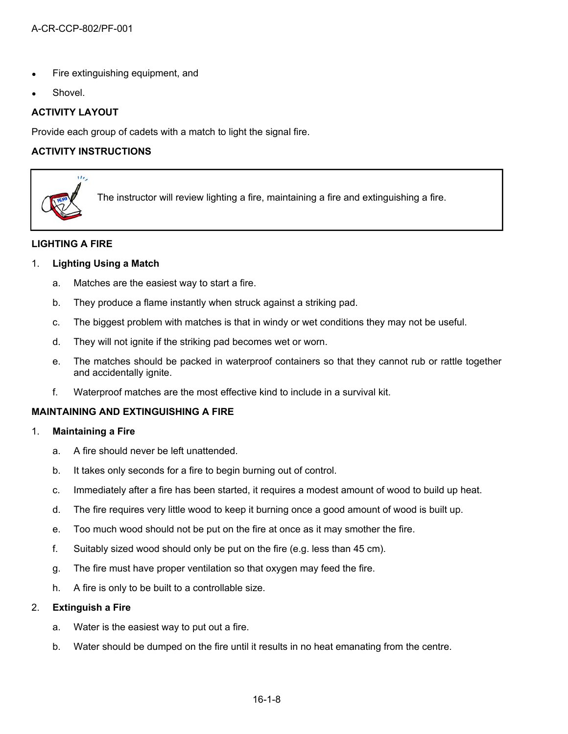- Fire extinguishing equipment, and
- Shovel.

# ACTIVITY LAYOUT

Provide each group of cadets with a match to light the signal fire.

## ACTIVITY INSTRUCTIONS



The instructor will review lighting a fire, maintaining a fire and extinguishing a fire.

## LIGHTING A FIRE

# 1. Lighting Using a Match

- a. Matches are the easiest way to start a fire.
- b. They produce a flame instantly when struck against a striking pad.
- c. The biggest problem with matches is that in windy or wet conditions they may not be useful.
- d. They will not ignite if the striking pad becomes wet or worn.
- e. The matches should be packed in waterproof containers so that they cannot rub or rattle together and accidentally ignite.
- f. Waterproof matches are the most effective kind to include in a survival kit.

# MAINTAINING AND EXTINGUISHING A FIRE

## 1. Maintaining a Fire

- a. A fire should never be left unattended.
- b. It takes only seconds for a fire to begin burning out of control.
- c. Immediately after a fire has been started, it requires a modest amount of wood to build up heat.
- d. The fire requires very little wood to keep it burning once a good amount of wood is built up.
- e. Too much wood should not be put on the fire at once as it may smother the fire.
- f. Suitably sized wood should only be put on the fire (e.g. less than 45 cm).
- g. The fire must have proper ventilation so that oxygen may feed the fire.
- h. A fire is only to be built to a controllable size.

## 2. Extinguish a Fire

- a. Water is the easiest way to put out a fire.
- b. Water should be dumped on the fire until it results in no heat emanating from the centre.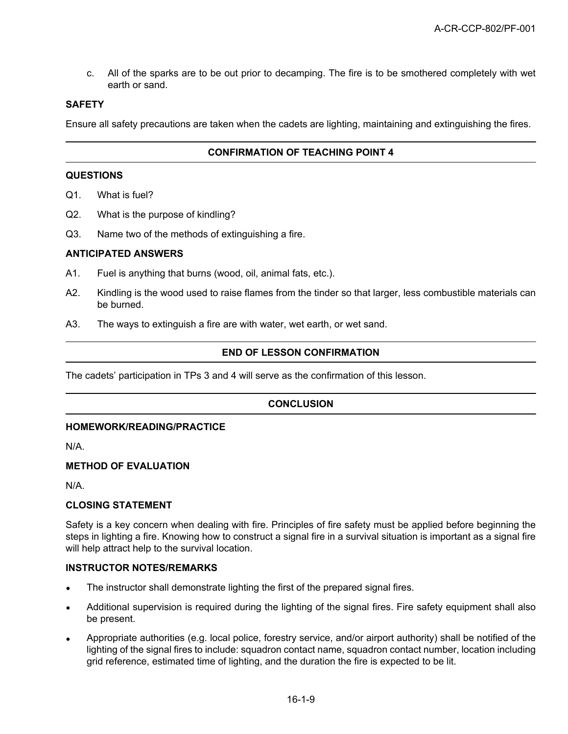c. All of the sparks are to be out prior to decamping. The fire is to be smothered completely with wet earth or sand.

## **SAFETY**

Ensure all safety precautions are taken when the cadets are lighting, maintaining and extinguishing the fires.

## CONFIRMATION OF TEACHING POINT 4

## **QUESTIONS**

- Q1. What is fuel?
- Q2. What is the purpose of kindling?
- Q3. Name two of the methods of extinguishing a fire.

### ANTICIPATED ANSWERS

- A1. Fuel is anything that burns (wood, oil, animal fats, etc.).
- A2. Kindling is the wood used to raise flames from the tinder so that larger, less combustible materials can be burned.
- A3. The ways to extinguish a fire are with water, wet earth, or wet sand.

# END OF LESSON CONFIRMATION

The cadets' participation in TPs 3 and 4 will serve as the confirmation of this lesson.

## **CONCLUSION**

#### HOMEWORK/READING/PRACTICE

N/A.

## METHOD OF EVALUATION

N/A.

## CLOSING STATEMENT

Safety is a key concern when dealing with fire. Principles of fire safety must be applied before beginning the steps in lighting a fire. Knowing how to construct a signal fire in a survival situation is important as a signal fire will help attract help to the survival location.

## INSTRUCTOR NOTES/REMARKS

- The instructor shall demonstrate lighting the first of the prepared signal fires.
- Additional supervision is required during the lighting of the signal fires. Fire safety equipment shall also be present.
- Appropriate authorities (e.g. local police, forestry service, and/or airport authority) shall be notified of the lighting of the signal fires to include: squadron contact name, squadron contact number, location including grid reference, estimated time of lighting, and the duration the fire is expected to be lit.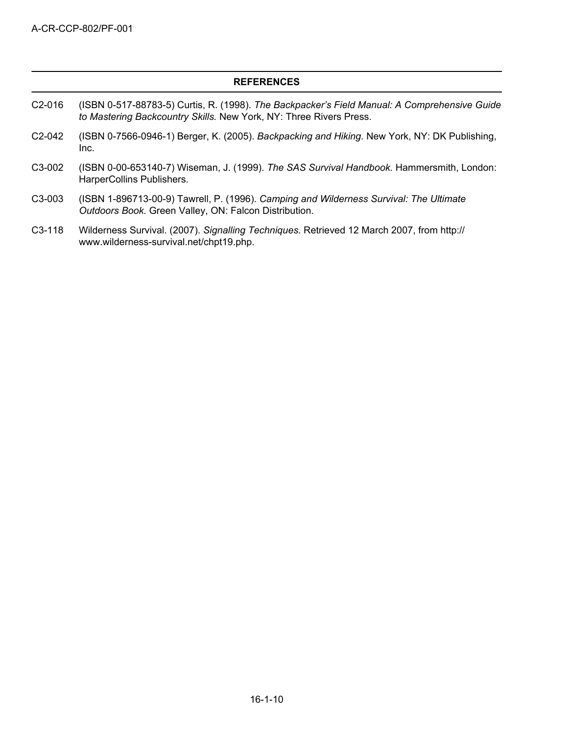# REFERENCES

- C2-016 (ISBN 0-517-88783-5) Curtis, R. (1998). The Backpacker's Field Manual: A Comprehensive Guide to Mastering Backcountry Skills. New York, NY: Three Rivers Press.
- C2-042 (ISBN 0-7566-0946-1) Berger, K. (2005). Backpacking and Hiking. New York, NY: DK Publishing, Inc.
- C3-002 (ISBN 0-00-653140-7) Wiseman, J. (1999). The SAS Survival Handbook. Hammersmith, London: HarperCollins Publishers.
- C3-003 (ISBN 1-896713-00-9) Tawrell, P. (1996). Camping and Wilderness Survival: The Ultimate Outdoors Book. Green Valley, ON: Falcon Distribution.
- C3-118 Wilderness Survival. (2007). Signalling Techniques. Retrieved 12 March 2007, from http:// www.wilderness-survival.net/chpt19.php.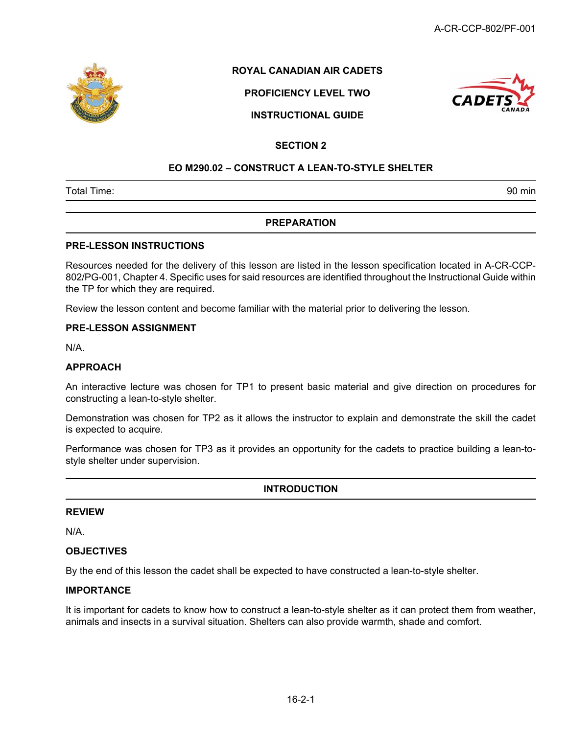

# ROYAL CANADIAN AIR CADETS

PROFICIENCY LEVEL TWO



INSTRUCTIONAL GUIDE

# SECTION 2

# EO M290.02 – CONSTRUCT A LEAN-TO-STYLE SHELTER

Total Time: 90 min

## PREPARATION

#### PRE-LESSON INSTRUCTIONS

Resources needed for the delivery of this lesson are listed in the lesson specification located in A-CR-CCP-802/PG-001, Chapter 4. Specific uses for said resources are identified throughout the Instructional Guide within the TP for which they are required.

Review the lesson content and become familiar with the material prior to delivering the lesson.

### PRE-LESSON ASSIGNMENT

N/A.

### APPROACH

An interactive lecture was chosen for TP1 to present basic material and give direction on procedures for constructing a lean-to-style shelter.

Demonstration was chosen for TP2 as it allows the instructor to explain and demonstrate the skill the cadet is expected to acquire.

Performance was chosen for TP3 as it provides an opportunity for the cadets to practice building a lean-tostyle shelter under supervision.

## INTRODUCTION

### REVIEW

N/A.

## **OBJECTIVES**

By the end of this lesson the cadet shall be expected to have constructed a lean-to-style shelter.

### **IMPORTANCE**

It is important for cadets to know how to construct a lean-to-style shelter as it can protect them from weather, animals and insects in a survival situation. Shelters can also provide warmth, shade and comfort.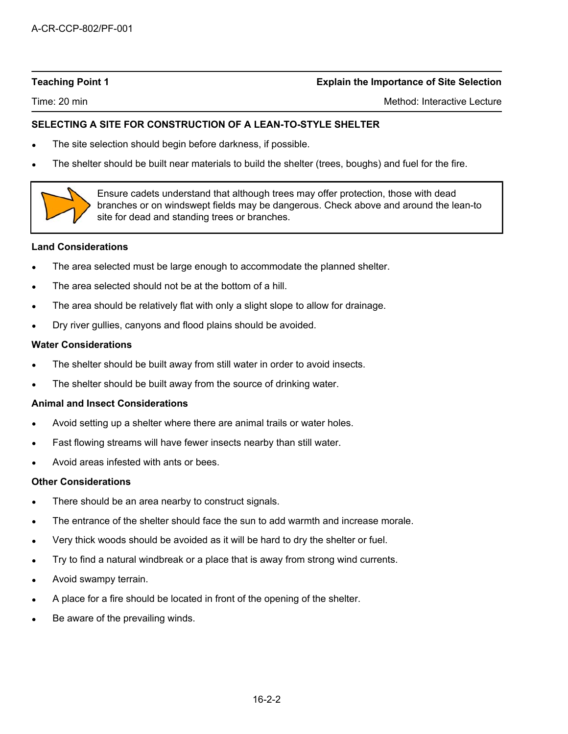# Teaching Point 1 **Explain the Importance of Site Selection**

Time: 20 min Method: Interactive Lecture Lecture Controllering and Method: Interactive Lecture

# SELECTING A SITE FOR CONSTRUCTION OF A LEAN-TO-STYLE SHELTER

- The site selection should begin before darkness, if possible.
- The shelter should be built near materials to build the shelter (trees, boughs) and fuel for the fire.



Ensure cadets understand that although trees may offer protection, those with dead branches or on windswept fields may be dangerous. Check above and around the lean-to site for dead and standing trees or branches.

### Land Considerations

- The area selected must be large enough to accommodate the planned shelter.
- The area selected should not be at the bottom of a hill.
- The area should be relatively flat with only a slight slope to allow for drainage.
- Dry river gullies, canyons and flood plains should be avoided.

### Water Considerations

- The shelter should be built away from still water in order to avoid insects.
- The shelter should be built away from the source of drinking water.

#### Animal and Insect Considerations

- Avoid setting up a shelter where there are animal trails or water holes.
- Fast flowing streams will have fewer insects nearby than still water.
- Avoid areas infested with ants or bees.

#### Other Considerations

- There should be an area nearby to construct signals.
- The entrance of the shelter should face the sun to add warmth and increase morale.
- Very thick woods should be avoided as it will be hard to dry the shelter or fuel.
- Try to find a natural windbreak or a place that is away from strong wind currents.
- Avoid swampy terrain.
- A place for a fire should be located in front of the opening of the shelter.
- Be aware of the prevailing winds.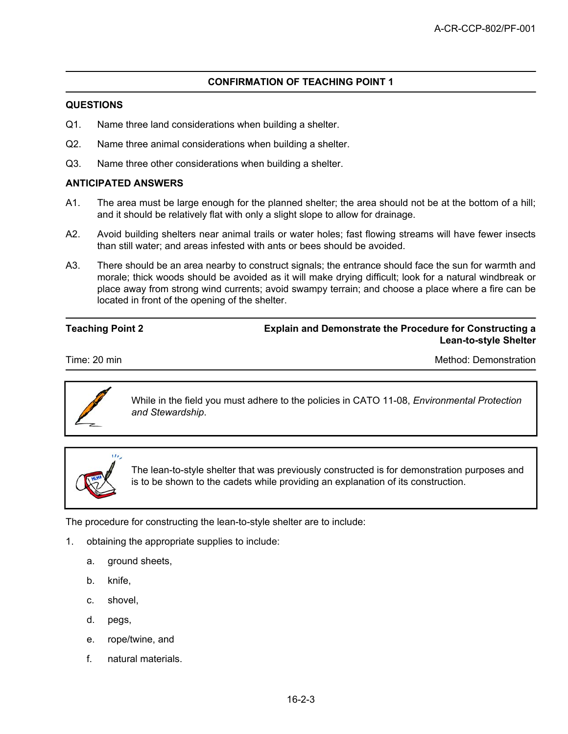## CONFIRMATION OF TEACHING POINT 1

#### QUESTIONS

- Q1. Name three land considerations when building a shelter.
- Q2. Name three animal considerations when building a shelter.
- Q3. Name three other considerations when building a shelter.

## ANTICIPATED ANSWERS

- A1. The area must be large enough for the planned shelter; the area should not be at the bottom of a hill; and it should be relatively flat with only a slight slope to allow for drainage.
- A2. Avoid building shelters near animal trails or water holes; fast flowing streams will have fewer insects than still water; and areas infested with ants or bees should be avoided.
- A3. There should be an area nearby to construct signals; the entrance should face the sun for warmth and morale; thick woods should be avoided as it will make drying difficult; look for a natural windbreak or place away from strong wind currents; avoid swampy terrain; and choose a place where a fire can be located in front of the opening of the shelter.

# Teaching Point 2 Explain and Demonstrate the Procedure for Constructing a Lean-to-style Shelter

Time: 20 min Method: Demonstration Number of Time: 20 min Method: Demonstration



While in the field you must adhere to the policies in CATO 11-08, *Environmental Protection* and Stewardship.



The lean-to-style shelter that was previously constructed is for demonstration purposes and is to be shown to the cadets while providing an explanation of its construction.

The procedure for constructing the lean-to-style shelter are to include:

- 1. obtaining the appropriate supplies to include:
	- a. ground sheets,
	- b. knife,
	- c. shovel,
	- d. pegs,
	- e. rope/twine, and
	- f. natural materials.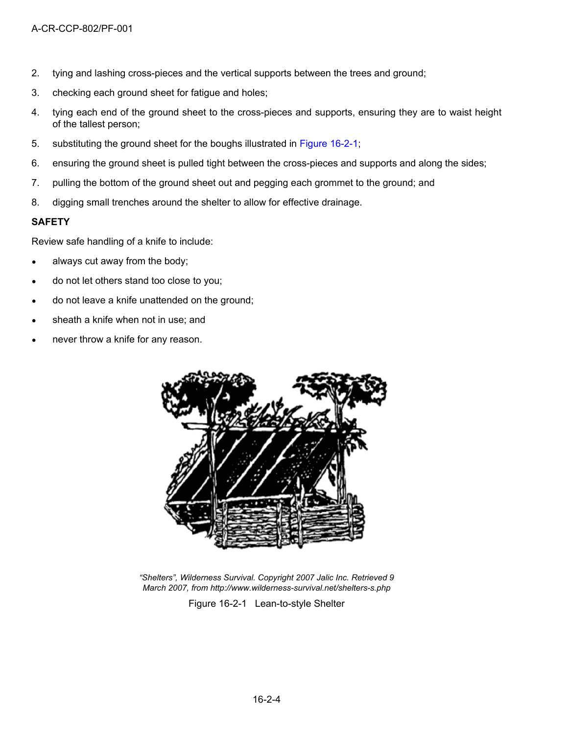- 2. tying and lashing cross-pieces and the vertical supports between the trees and ground;
- 3. checking each ground sheet for fatigue and holes;
- 4. tying each end of the ground sheet to the cross-pieces and supports, ensuring they are to waist height of the tallest person;
- 5. substituting the ground sheet for the boughs illustrated in Figure 16-2-1;
- 6. ensuring the ground sheet is pulled tight between the cross-pieces and supports and along the sides;
- 7. pulling the bottom of the ground sheet out and pegging each grommet to the ground; and
- 8. digging small trenches around the shelter to allow for effective drainage.

## **SAFETY**

Review safe handling of a knife to include:

- always cut away from the body;
- do not let others stand too close to you;
- do not leave a knife unattended on the ground;
- sheath a knife when not in use; and
- never throw a knife for any reason.



"Shelters", Wilderness Survival. Copyright 2007 Jalic Inc. Retrieved 9 March 2007, from http://www.wilderness-survival.net/shelters-s.php

Figure 16-2-1 Lean-to-style Shelter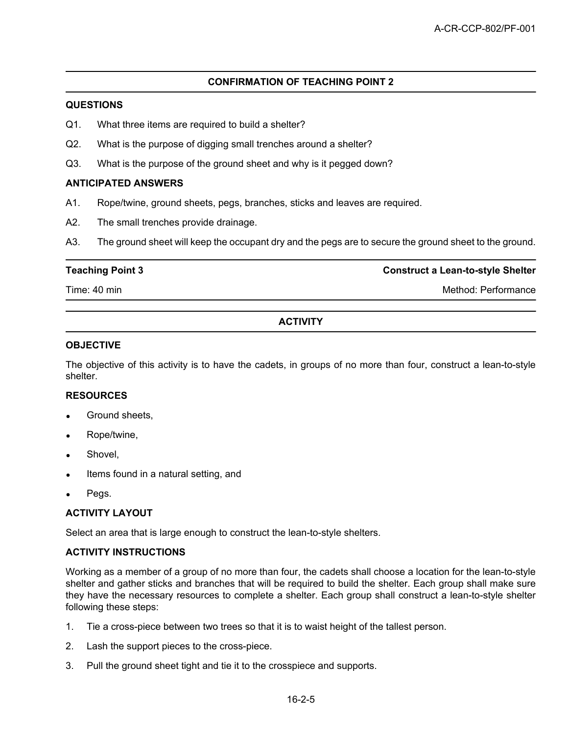## CONFIRMATION OF TEACHING POINT 2

#### QUESTIONS

- Q1. What three items are required to build a shelter?
- Q2. What is the purpose of digging small trenches around a shelter?
- Q3. What is the purpose of the ground sheet and why is it pegged down?

#### ANTICIPATED ANSWERS

- A1. Rope/twine, ground sheets, pegs, branches, sticks and leaves are required.
- A2. The small trenches provide drainage.
- A3. The ground sheet will keep the occupant dry and the pegs are to secure the ground sheet to the ground.

# Teaching Point 3 Construct a Lean-to-style Shelter

Time: 40 min Method: Performance

# **ACTIVITY**

#### **OBJECTIVE**

The objective of this activity is to have the cadets, in groups of no more than four, construct a lean-to-style shelter.

### **RESOURCES**

- Ground sheets,
- Rope/twine,
- Shovel,
- Items found in a natural setting, and
- Pegs.

## ACTIVITY LAYOUT

Select an area that is large enough to construct the lean-to-style shelters.

#### ACTIVITY INSTRUCTIONS

Working as a member of a group of no more than four, the cadets shall choose a location for the lean-to-style shelter and gather sticks and branches that will be required to build the shelter. Each group shall make sure they have the necessary resources to complete a shelter. Each group shall construct a lean-to-style shelter following these steps:

- 1. Tie a cross-piece between two trees so that it is to waist height of the tallest person.
- 2. Lash the support pieces to the cross-piece.
- 3. Pull the ground sheet tight and tie it to the crosspiece and supports.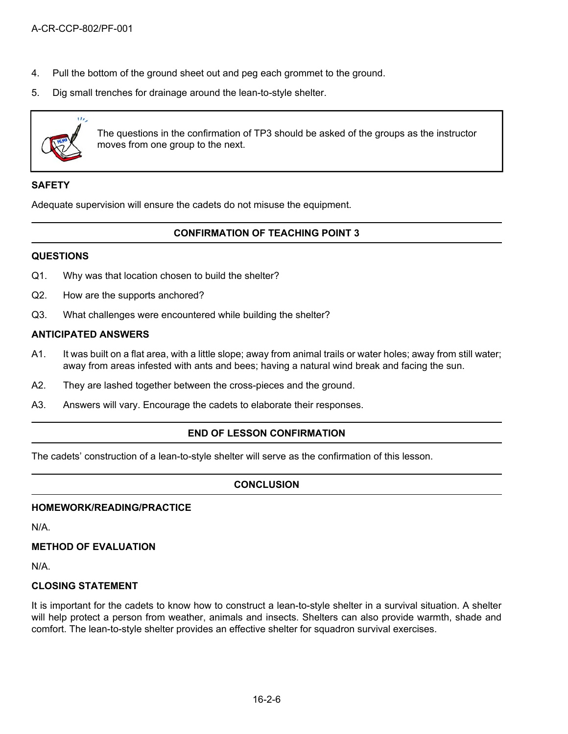- 4. Pull the bottom of the ground sheet out and peg each grommet to the ground.
- 5. Dig small trenches for drainage around the lean-to-style shelter.



The questions in the confirmation of TP3 should be asked of the groups as the instructor moves from one group to the next.

## **SAFETY**

Adequate supervision will ensure the cadets do not misuse the equipment.

## CONFIRMATION OF TEACHING POINT 3

### QUESTIONS

- Q1. Why was that location chosen to build the shelter?
- Q2. How are the supports anchored?
- Q3. What challenges were encountered while building the shelter?

### ANTICIPATED ANSWERS

- A1. It was built on a flat area, with a little slope; away from animal trails or water holes; away from still water; away from areas infested with ants and bees; having a natural wind break and facing the sun.
- A2. They are lashed together between the cross-pieces and the ground.
- A3. Answers will vary. Encourage the cadets to elaborate their responses.

## END OF LESSON CONFIRMATION

The cadets' construction of a lean-to-style shelter will serve as the confirmation of this lesson.

# **CONCLUSION**

#### HOMEWORK/READING/PRACTICE

N/A.

## METHOD OF EVALUATION

N/A.

## CLOSING STATEMENT

It is important for the cadets to know how to construct a lean-to-style shelter in a survival situation. A shelter will help protect a person from weather, animals and insects. Shelters can also provide warmth, shade and comfort. The lean-to-style shelter provides an effective shelter for squadron survival exercises.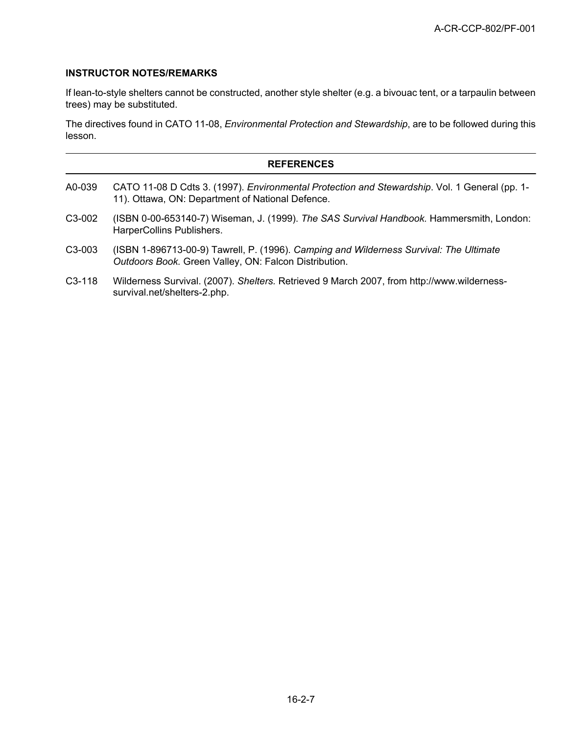# INSTRUCTOR NOTES/REMARKS

If lean-to-style shelters cannot be constructed, another style shelter (e.g. a bivouac tent, or a tarpaulin between trees) may be substituted.

The directives found in CATO 11-08, Environmental Protection and Stewardship, are to be followed during this lesson.

| <b>REFERENCES</b>   |                                                                                                                                                           |  |
|---------------------|-----------------------------------------------------------------------------------------------------------------------------------------------------------|--|
| A0-039              | CATO 11-08 D Cdts 3. (1997). <i>Environmental Protection and Stewardship</i> . Vol. 1 General (pp. 1-<br>11). Ottawa, ON: Department of National Defence. |  |
| C3-002              | (ISBN 0-00-653140-7) Wiseman, J. (1999). The SAS Survival Handbook. Hammersmith, London:<br>HarperCollins Publishers.                                     |  |
| C <sub>3</sub> -003 | (ISBN 1-896713-00-9) Tawrell, P. (1996). Camping and Wilderness Survival: The Ultimate<br>Outdoors Book. Green Valley, ON: Falcon Distribution.           |  |
| $C3-118$            | Wilderness Survival. (2007). Shelters. Retrieved 9 March 2007, from http://www.wilderness-<br>survival.net/shelters-2.php.                                |  |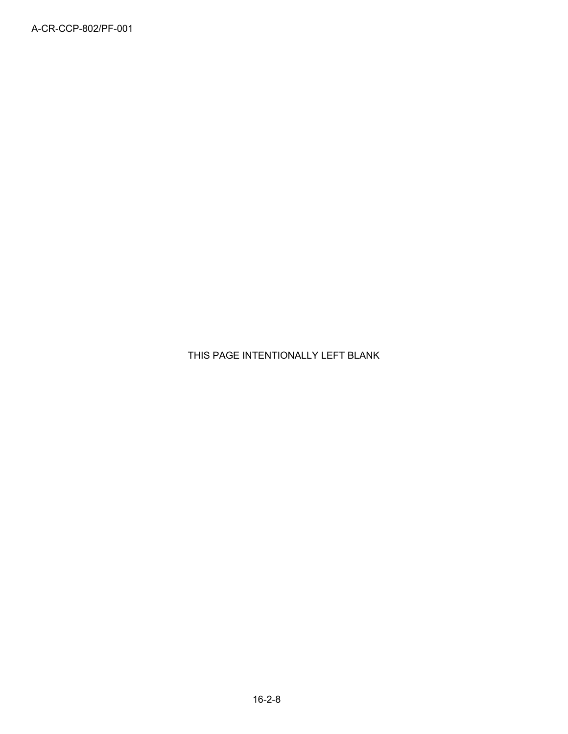THIS PAGE INTENTIONALLY LEFT BLANK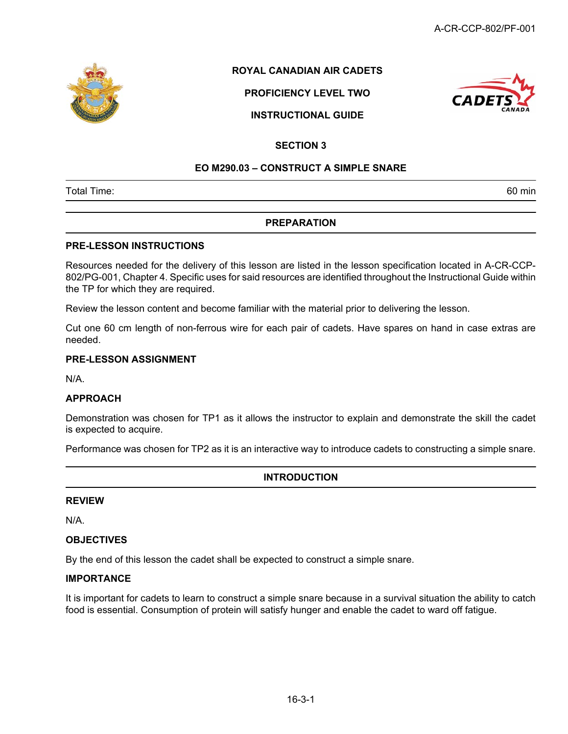

# ROYAL CANADIAN AIR CADETS

## PROFICIENCY LEVEL TWO



INSTRUCTIONAL GUIDE

# SECTION 3

## EO M290.03 – CONSTRUCT A SIMPLE SNARE

Total Time: 60 min

## PREPARATION

### PRE-LESSON INSTRUCTIONS

Resources needed for the delivery of this lesson are listed in the lesson specification located in A-CR-CCP-802/PG-001, Chapter 4. Specific uses for said resources are identified throughout the Instructional Guide within the TP for which they are required.

Review the lesson content and become familiar with the material prior to delivering the lesson.

Cut one 60 cm length of non-ferrous wire for each pair of cadets. Have spares on hand in case extras are needed.

## PRE-LESSON ASSIGNMENT

N/A.

# APPROACH

Demonstration was chosen for TP1 as it allows the instructor to explain and demonstrate the skill the cadet is expected to acquire.

Performance was chosen for TP2 as it is an interactive way to introduce cadets to constructing a simple snare.

# INTRODUCTION

#### REVIEW

N/A.

#### **OBJECTIVES**

By the end of this lesson the cadet shall be expected to construct a simple snare.

#### IMPORTANCE

It is important for cadets to learn to construct a simple snare because in a survival situation the ability to catch food is essential. Consumption of protein will satisfy hunger and enable the cadet to ward off fatigue.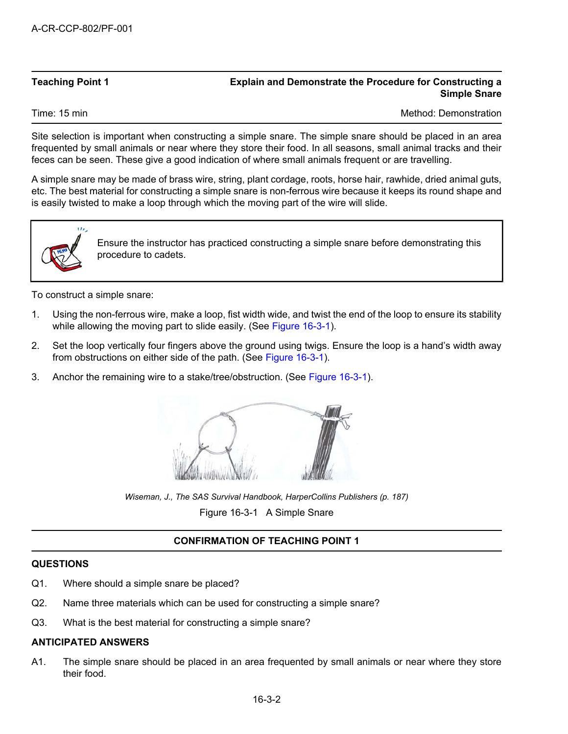# Teaching Point 1 Explain and Demonstrate the Procedure for Constructing a Simple Snare

Time: 15 min Method: Demonstration Number of Time: 15 min Method: Demonstration

Site selection is important when constructing a simple snare. The simple snare should be placed in an area frequented by small animals or near where they store their food. In all seasons, small animal tracks and their feces can be seen. These give a good indication of where small animals frequent or are travelling.

A simple snare may be made of brass wire, string, plant cordage, roots, horse hair, rawhide, dried animal guts, etc. The best material for constructing a simple snare is non-ferrous wire because it keeps its round shape and is easily twisted to make a loop through which the moving part of the wire will slide.



Ensure the instructor has practiced constructing a simple snare before demonstrating this procedure to cadets.

To construct a simple snare:

- 1. Using the non-ferrous wire, make a loop, fist width wide, and twist the end of the loop to ensure its stability while allowing the moving part to slide easily. (See Figure 16-3-1).
- 2. Set the loop vertically four fingers above the ground using twigs. Ensure the loop is a hand's width away from obstructions on either side of the path. (See Figure 16-3-1).
- 3. Anchor the remaining wire to a stake/tree/obstruction. (See Figure 16-3-1).



Wiseman, J., The SAS Survival Handbook, HarperCollins Publishers (p. 187) Figure 16-3-1 A Simple Snare

# CONFIRMATION OF TEACHING POINT 1

## QUESTIONS

- Q1. Where should a simple snare be placed?
- Q2. Name three materials which can be used for constructing a simple snare?
- Q3. What is the best material for constructing a simple snare?

# ANTICIPATED ANSWERS

A1. The simple snare should be placed in an area frequented by small animals or near where they store their food.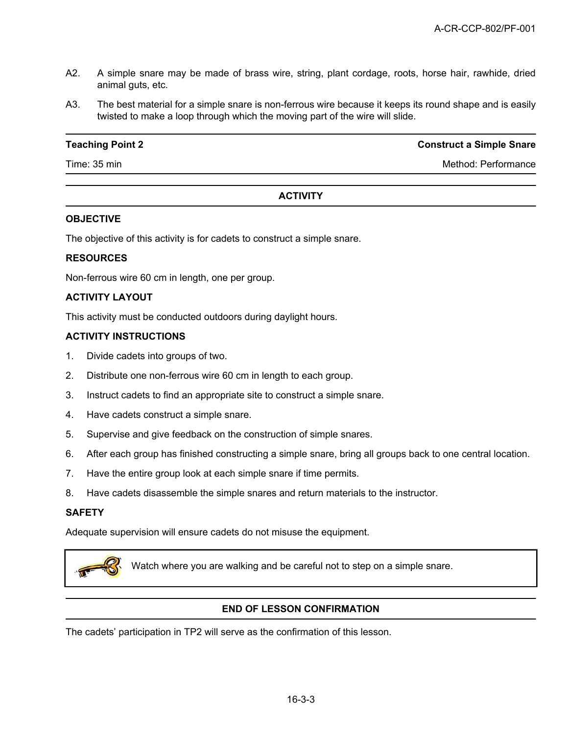- A2. A simple snare may be made of brass wire, string, plant cordage, roots, horse hair, rawhide, dried animal guts, etc.
- A3. The best material for a simple snare is non-ferrous wire because it keeps its round shape and is easily twisted to make a loop through which the moving part of the wire will slide.

Teaching Point 2 Construct a Simple Snare Construct a Simple Snare

Time: 35 min Method: Performance Communication of the Method: Performance Communication of the Method: Performance

# **ACTIVITY**

## **OBJECTIVE**

The objective of this activity is for cadets to construct a simple snare.

## RESOURCES

Non-ferrous wire 60 cm in length, one per group.

# ACTIVITY LAYOUT

This activity must be conducted outdoors during daylight hours.

# ACTIVITY INSTRUCTIONS

- 1. Divide cadets into groups of two.
- 2. Distribute one non-ferrous wire 60 cm in length to each group.
- 3. Instruct cadets to find an appropriate site to construct a simple snare.
- 4. Have cadets construct a simple snare.
- 5. Supervise and give feedback on the construction of simple snares.
- 6. After each group has finished constructing a simple snare, bring all groups back to one central location.
- 7. Have the entire group look at each simple snare if time permits.
- 8. Have cadets disassemble the simple snares and return materials to the instructor.

#### **SAFETY**

Adequate supervision will ensure cadets do not misuse the equipment.



Watch where you are walking and be careful not to step on a simple snare.

## END OF LESSON CONFIRMATION

The cadets' participation in TP2 will serve as the confirmation of this lesson.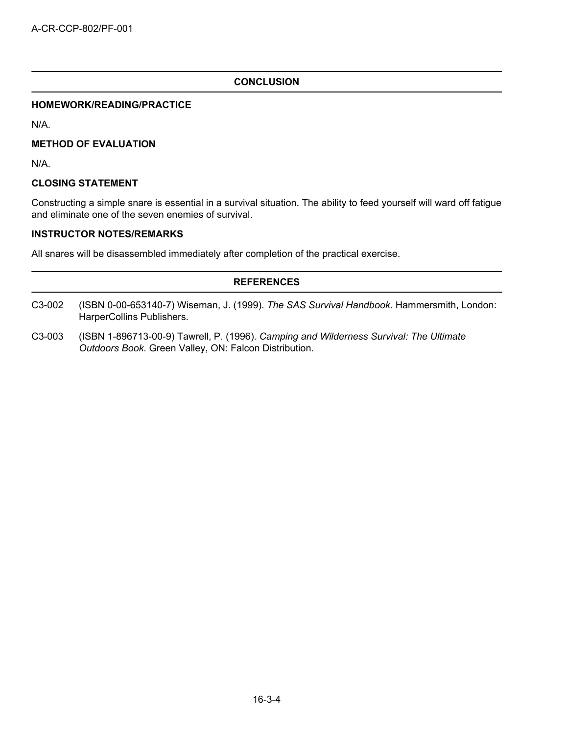# **CONCLUSION**

### HOMEWORK/READING/PRACTICE

N/A.

## METHOD OF EVALUATION

N/A.

## CLOSING STATEMENT

Constructing a simple snare is essential in a survival situation. The ability to feed yourself will ward off fatigue and eliminate one of the seven enemies of survival.

# INSTRUCTOR NOTES/REMARKS

All snares will be disassembled immediately after completion of the practical exercise.

## **REFERENCES**

- C3-002 (ISBN 0-00-653140-7) Wiseman, J. (1999). The SAS Survival Handbook. Hammersmith, London: HarperCollins Publishers.
- C3-003 (ISBN 1-896713-00-9) Tawrell, P. (1996). Camping and Wilderness Survival: The Ultimate Outdoors Book. Green Valley, ON: Falcon Distribution.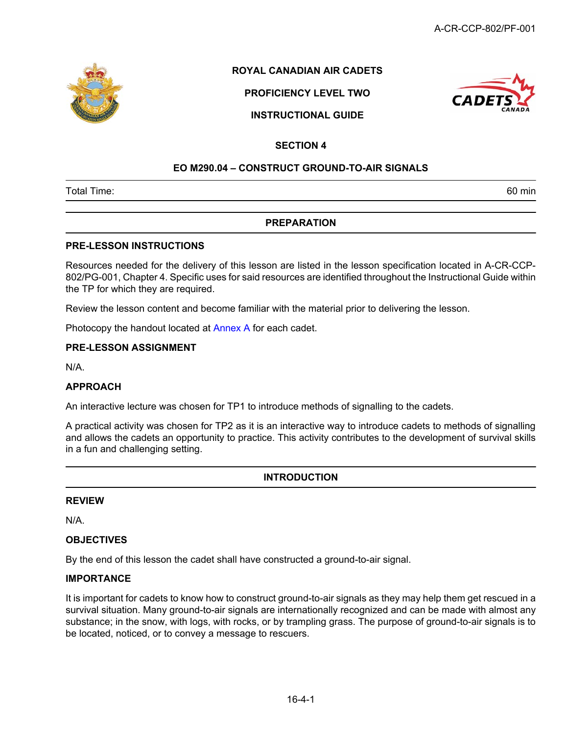

# ROYAL CANADIAN AIR CADETS

PROFICIENCY LEVEL TWO



INSTRUCTIONAL GUIDE

# SECTION 4

## EO M290.04 – CONSTRUCT GROUND-TO-AIR SIGNALS

Total Time: 60 min

## PREPARATION

### PRE-LESSON INSTRUCTIONS

Resources needed for the delivery of this lesson are listed in the lesson specification located in A-CR-CCP-802/PG-001, Chapter 4. Specific uses for said resources are identified throughout the Instructional Guide within the TP for which they are required.

Review the lesson content and become familiar with the material prior to delivering the lesson.

Photocopy the handout located at Annex A for each cadet.

### PRE-LESSON ASSIGNMENT

N/A.

## APPROACH

An interactive lecture was chosen for TP1 to introduce methods of signalling to the cadets.

A practical activity was chosen for TP2 as it is an interactive way to introduce cadets to methods of signalling and allows the cadets an opportunity to practice. This activity contributes to the development of survival skills in a fun and challenging setting.

## INTRODUCTION

#### REVIEW

N/A.

#### **OBJECTIVES**

By the end of this lesson the cadet shall have constructed a ground-to-air signal.

#### IMPORTANCE

It is important for cadets to know how to construct ground-to-air signals as they may help them get rescued in a survival situation. Many ground-to-air signals are internationally recognized and can be made with almost any substance; in the snow, with logs, with rocks, or by trampling grass. The purpose of ground-to-air signals is to be located, noticed, or to convey a message to rescuers.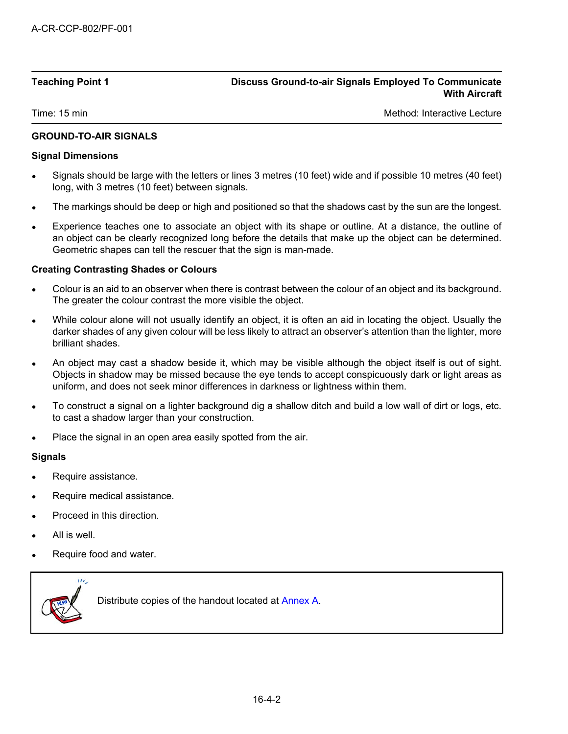# Teaching Point 1 Discuss Ground-to-air Signals Employed To Communicate With Aircraft

Time: 15 min Method: Interactive Lecture Controllering School and Method: Interactive Lecture

# GROUND-TO-AIR SIGNALS

## Signal Dimensions

- Signals should be large with the letters or lines 3 metres (10 feet) wide and if possible 10 metres (40 feet) long, with 3 metres (10 feet) between signals.
- The markings should be deep or high and positioned so that the shadows cast by the sun are the longest.
- Experience teaches one to associate an object with its shape or outline. At a distance, the outline of an object can be clearly recognized long before the details that make up the object can be determined. Geometric shapes can tell the rescuer that the sign is man-made.

# Creating Contrasting Shades or Colours

- Colour is an aid to an observer when there is contrast between the colour of an object and its background. The greater the colour contrast the more visible the object.
- While colour alone will not usually identify an object, it is often an aid in locating the object. Usually the  $\bullet$ darker shades of any given colour will be less likely to attract an observer's attention than the lighter, more brilliant shades.
- An object may cast a shadow beside it, which may be visible although the object itself is out of sight. Objects in shadow may be missed because the eye tends to accept conspicuously dark or light areas as uniform, and does not seek minor differences in darkness or lightness within them.
- To construct a signal on a lighter background dig a shallow ditch and build a low wall of dirt or logs, etc.  $\bullet$ to cast a shadow larger than your construction.
- Place the signal in an open area easily spotted from the air.

## **Signals**

- Require assistance.
- Require medical assistance.
- Proceed in this direction.
- All is well.
- Require food and water.



Distribute copies of the handout located at Annex A.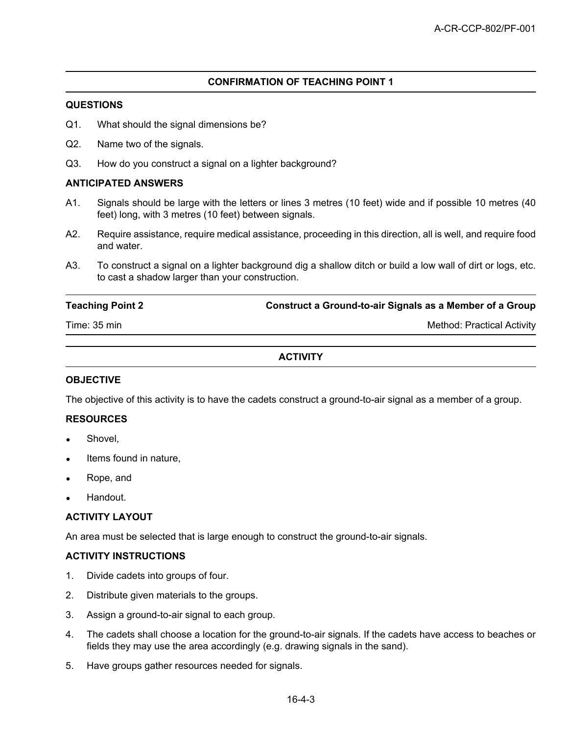## CONFIRMATION OF TEACHING POINT 1

## QUESTIONS

- Q1. What should the signal dimensions be?
- Q2. Name two of the signals.
- Q3. How do you construct a signal on a lighter background?

### ANTICIPATED ANSWERS

- A1. Signals should be large with the letters or lines 3 metres (10 feet) wide and if possible 10 metres (40 feet) long, with 3 metres (10 feet) between signals.
- A2. Require assistance, require medical assistance, proceeding in this direction, all is well, and require food and water.
- A3. To construct a signal on a lighter background dig a shallow ditch or build a low wall of dirt or logs, etc. to cast a shadow larger than your construction.

| <b>Teaching Point 2</b> | Construct a Ground-to-air Signals as a Member of a Group |
|-------------------------|----------------------------------------------------------|
| Time: 35 min            | <b>Method: Practical Activity</b>                        |
|                         |                                                          |

# **ACTIVITY**

#### **OBJECTIVE**

The objective of this activity is to have the cadets construct a ground-to-air signal as a member of a group.

### **RESOURCES**

- Shovel,
- Items found in nature,
- Rope, and
- Handout.

## ACTIVITY LAYOUT

An area must be selected that is large enough to construct the ground-to-air signals.

### ACTIVITY INSTRUCTIONS

- 1. Divide cadets into groups of four.
- 2. Distribute given materials to the groups.
- 3. Assign a ground-to-air signal to each group.
- 4. The cadets shall choose a location for the ground-to-air signals. If the cadets have access to beaches or fields they may use the area accordingly (e.g. drawing signals in the sand).
- 5. Have groups gather resources needed for signals.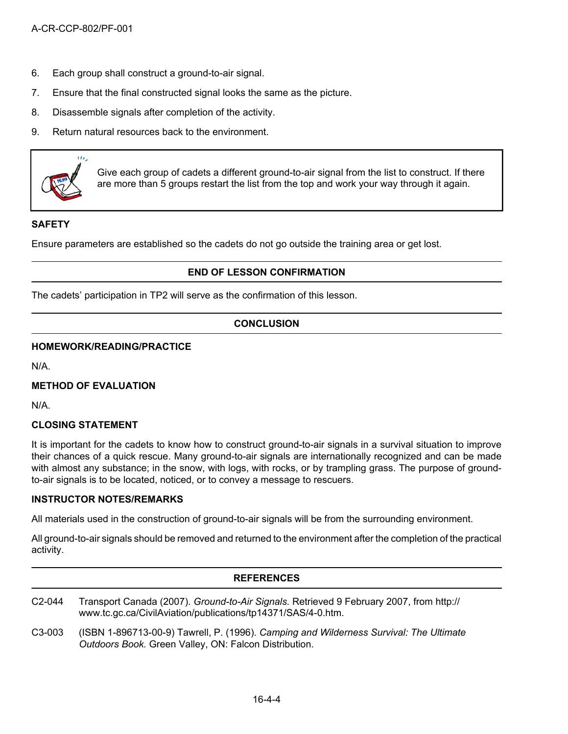- 6. Each group shall construct a ground-to-air signal.
- 7. Ensure that the final constructed signal looks the same as the picture.
- 8. Disassemble signals after completion of the activity.
- 9. Return natural resources back to the environment.



Give each group of cadets a different ground-to-air signal from the list to construct. If there are more than 5 groups restart the list from the top and work your way through it again.

# **SAFETY**

Ensure parameters are established so the cadets do not go outside the training area or get lost.

# END OF LESSON CONFIRMATION

The cadets' participation in TP2 will serve as the confirmation of this lesson.

# **CONCLUSION**

## HOMEWORK/READING/PRACTICE

N/A.

# METHOD OF EVALUATION

N/A.

## CLOSING STATEMENT

It is important for the cadets to know how to construct ground-to-air signals in a survival situation to improve their chances of a quick rescue. Many ground-to-air signals are internationally recognized and can be made with almost any substance; in the snow, with logs, with rocks, or by trampling grass. The purpose of groundto-air signals is to be located, noticed, or to convey a message to rescuers.

## INSTRUCTOR NOTES/REMARKS

All materials used in the construction of ground-to-air signals will be from the surrounding environment.

All ground-to-air signals should be removed and returned to the environment after the completion of the practical activity.

#### **REFERENCES**

- C2-044 Transport Canada (2007). Ground-to-Air Signals. Retrieved 9 February 2007, from http:// www.tc.gc.ca/CivilAviation/publications/tp14371/SAS/4-0.htm.
- C3-003 (ISBN 1-896713-00-9) Tawrell, P. (1996). Camping and Wilderness Survival: The Ultimate Outdoors Book. Green Valley, ON: Falcon Distribution.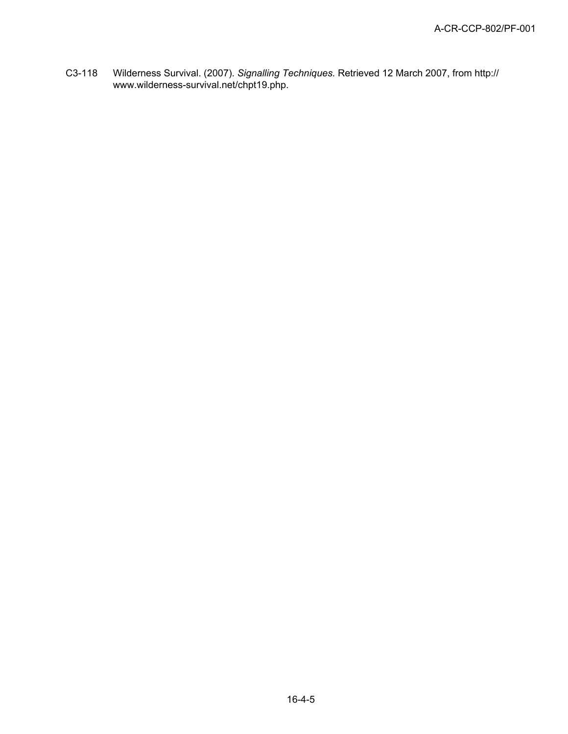C3-118 Wilderness Survival. (2007). Signalling Techniques. Retrieved 12 March 2007, from http:// www.wilderness-survival.net/chpt19.php.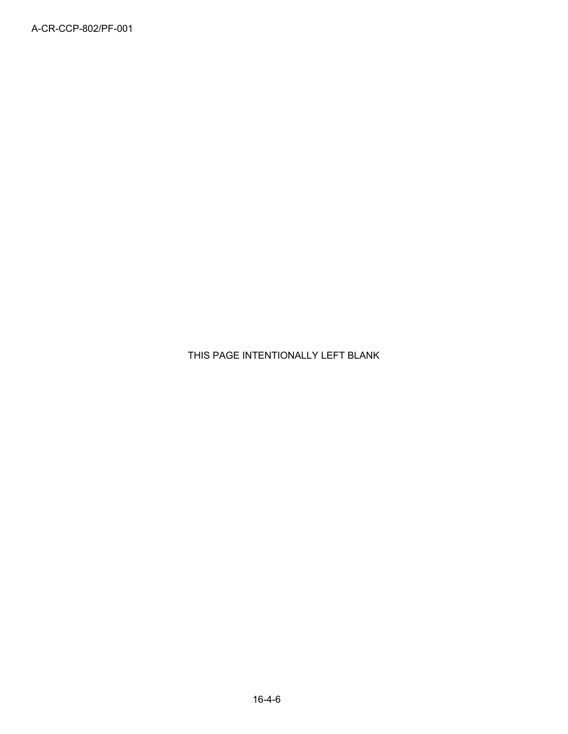THIS PAGE INTENTIONALLY LEFT BLANK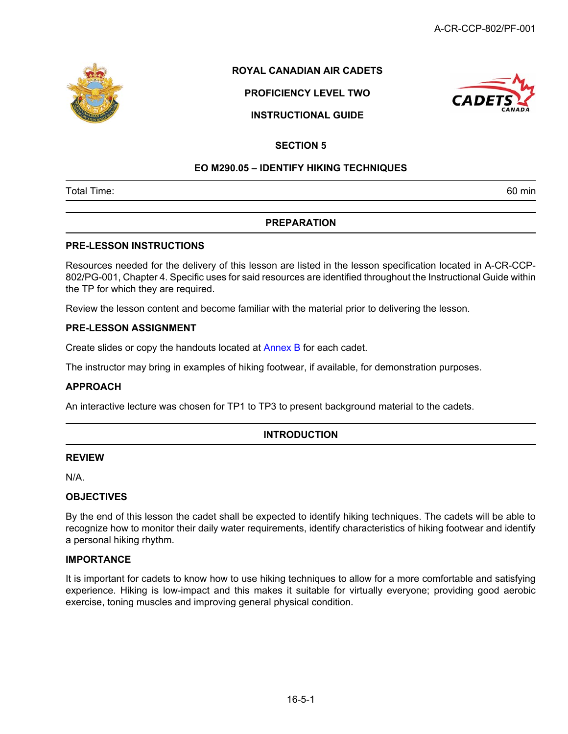

# ROYAL CANADIAN AIR CADETS

## PROFICIENCY LEVEL TWO



INSTRUCTIONAL GUIDE

# SECTION 5

## EO M290.05 – IDENTIFY HIKING TECHNIQUES

Total Time: 60 min

## PREPARATION

### PRE-LESSON INSTRUCTIONS

Resources needed for the delivery of this lesson are listed in the lesson specification located in A-CR-CCP-802/PG-001, Chapter 4. Specific uses for said resources are identified throughout the Instructional Guide within the TP for which they are required.

Review the lesson content and become familiar with the material prior to delivering the lesson.

### PRE-LESSON ASSIGNMENT

Create slides or copy the handouts located at Annex B for each cadet.

The instructor may bring in examples of hiking footwear, if available, for demonstration purposes.

## APPROACH

An interactive lecture was chosen for TP1 to TP3 to present background material to the cadets.

## INTRODUCTION

#### REVIEW

N/A.

#### **OBJECTIVES**

By the end of this lesson the cadet shall be expected to identify hiking techniques. The cadets will be able to recognize how to monitor their daily water requirements, identify characteristics of hiking footwear and identify a personal hiking rhythm.

#### IMPORTANCE

It is important for cadets to know how to use hiking techniques to allow for a more comfortable and satisfying experience. Hiking is low-impact and this makes it suitable for virtually everyone; providing good aerobic exercise, toning muscles and improving general physical condition.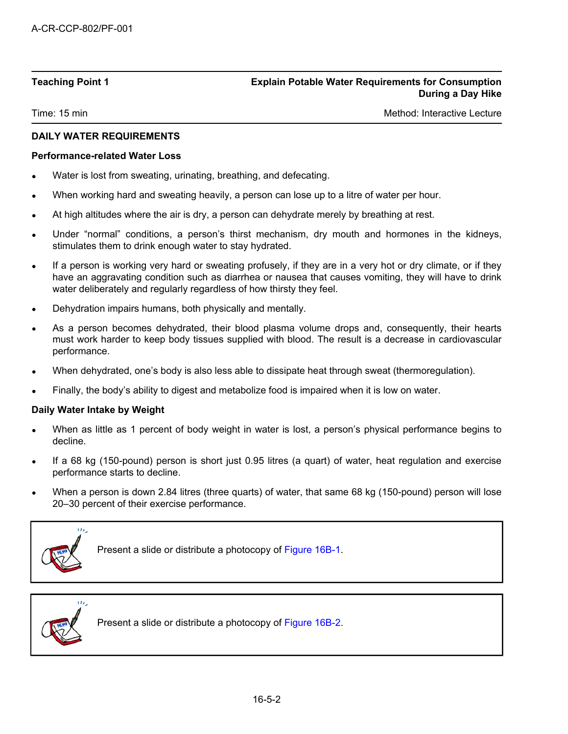# Teaching Point 1 Explain Potable Water Requirements for Consumption During a Day Hike

Time: 15 min Method: Interactive Lecture Controllering School and Method: Interactive Lecture

#### DAILY WATER REQUIREMENTS

### Performance-related Water Loss

- Water is lost from sweating, urinating, breathing, and defecating.
- When working hard and sweating heavily, a person can lose up to a litre of water per hour.
- At high altitudes where the air is dry, a person can dehydrate merely by breathing at rest.
- Under "normal" conditions, a person's thirst mechanism, dry mouth and hormones in the kidneys, stimulates them to drink enough water to stay hydrated.
- If a person is working very hard or sweating profusely, if they are in a very hot or dry climate, or if they have an aggravating condition such as diarrhea or nausea that causes vomiting, they will have to drink water deliberately and regularly regardless of how thirsty they feel.
- Dehydration impairs humans, both physically and mentally.
- As a person becomes dehydrated, their blood plasma volume drops and, consequently, their hearts must work harder to keep body tissues supplied with blood. The result is a decrease in cardiovascular performance.
- When dehydrated, one's body is also less able to dissipate heat through sweat (thermoregulation).
- Finally, the body's ability to digest and metabolize food is impaired when it is low on water.

## Daily Water Intake by Weight

- When as little as 1 percent of body weight in water is lost, a person's physical performance begins to decline.
- If a 68 kg (150-pound) person is short just 0.95 litres (a quart) of water, heat regulation and exercise performance starts to decline.
- When a person is down 2.84 litres (three quarts) of water, that same 68 kg (150-pound) person will lose 20–30 percent of their exercise performance.



Present a slide or distribute a photocopy of Figure 16B-1.



Present a slide or distribute a photocopy of Figure 16B-2.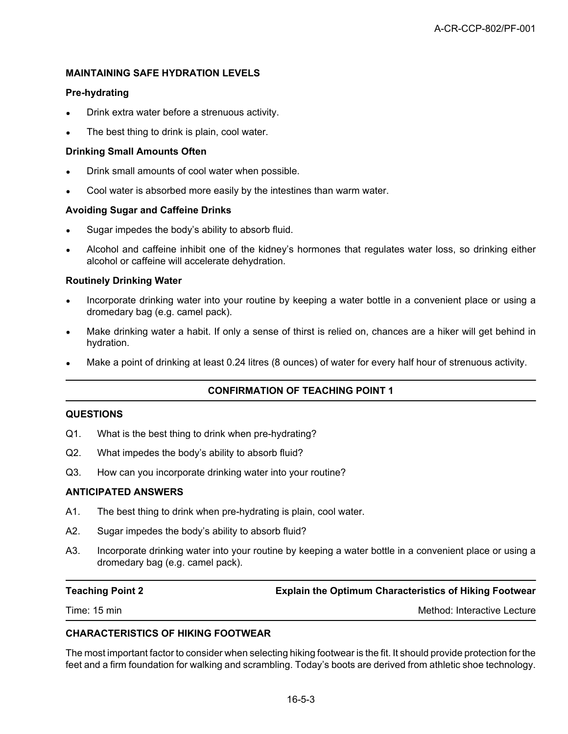## MAINTAINING SAFE HYDRATION LEVELS

### Pre-hydrating

- Drink extra water before a strenuous activity.
- The best thing to drink is plain, cool water.

#### Drinking Small Amounts Often

- Drink small amounts of cool water when possible.
- Cool water is absorbed more easily by the intestines than warm water.

#### Avoiding Sugar and Caffeine Drinks

- Sugar impedes the body's ability to absorb fluid.
- Alcohol and caffeine inhibit one of the kidney's hormones that regulates water loss, so drinking either alcohol or caffeine will accelerate dehydration.

### Routinely Drinking Water

- Incorporate drinking water into your routine by keeping a water bottle in a convenient place or using a dromedary bag (e.g. camel pack).
- Make drinking water a habit. If only a sense of thirst is relied on, chances are a hiker will get behind in hydration.
- Make a point of drinking at least 0.24 litres (8 ounces) of water for every half hour of strenuous activity.

## CONFIRMATION OF TEACHING POINT 1

#### QUESTIONS

- Q1. What is the best thing to drink when pre-hydrating?
- Q2. What impedes the body's ability to absorb fluid?
- Q3. How can you incorporate drinking water into your routine?

#### ANTICIPATED ANSWERS

- A1. The best thing to drink when pre-hydrating is plain, cool water.
- A2. Sugar impedes the body's ability to absorb fluid?
- A3. Incorporate drinking water into your routine by keeping a water bottle in a convenient place or using a dromedary bag (e.g. camel pack).

#### Teaching Point 2 Explain the Optimum Characteristics of Hiking Footwear

Time: 15 min Method: Interactive Lecture Communication of the Method: Interactive Lecture

### CHARACTERISTICS OF HIKING FOOTWEAR

The most important factor to consider when selecting hiking footwear is the fit. It should provide protection for the feet and a firm foundation for walking and scrambling. Today's boots are derived from athletic shoe technology.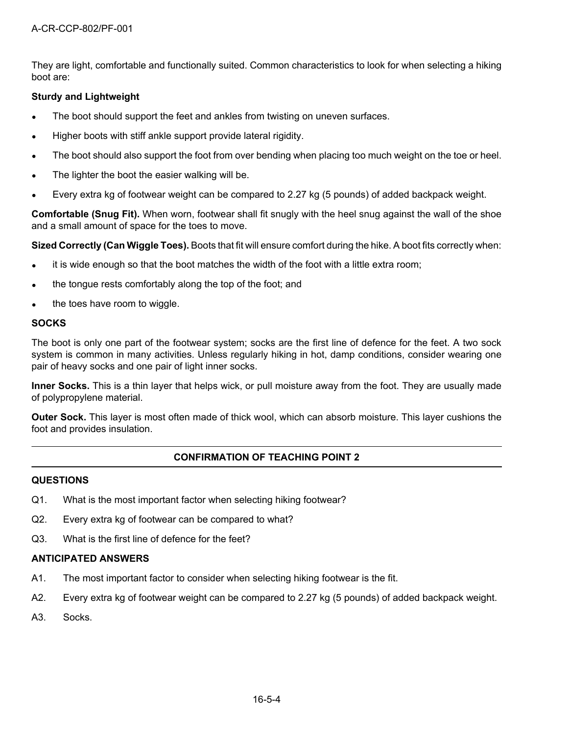They are light, comfortable and functionally suited. Common characteristics to look for when selecting a hiking boot are:

# Sturdy and Lightweight

- The boot should support the feet and ankles from twisting on uneven surfaces.
- Higher boots with stiff ankle support provide lateral rigidity.
- The boot should also support the foot from over bending when placing too much weight on the toe or heel.
- The lighter the boot the easier walking will be.
- Every extra kg of footwear weight can be compared to 2.27 kg (5 pounds) of added backpack weight.

Comfortable (Snug Fit). When worn, footwear shall fit snugly with the heel snug against the wall of the shoe and a small amount of space for the toes to move.

Sized Correctly (Can Wiggle Toes). Boots that fit will ensure comfort during the hike. A boot fits correctly when:

- it is wide enough so that the boot matches the width of the foot with a little extra room;  $\bullet$
- the tongue rests comfortably along the top of the foot; and
- the toes have room to wiggle.

## **SOCKS**

The boot is only one part of the footwear system; socks are the first line of defence for the feet. A two sock system is common in many activities. Unless regularly hiking in hot, damp conditions, consider wearing one pair of heavy socks and one pair of light inner socks.

Inner Socks. This is a thin layer that helps wick, or pull moisture away from the foot. They are usually made of polypropylene material.

Outer Sock. This layer is most often made of thick wool, which can absorb moisture. This layer cushions the foot and provides insulation.

## CONFIRMATION OF TEACHING POINT 2

## **QUESTIONS**

- Q1. What is the most important factor when selecting hiking footwear?
- Q2. Every extra kg of footwear can be compared to what?
- Q3. What is the first line of defence for the feet?

## ANTICIPATED ANSWERS

- A1. The most important factor to consider when selecting hiking footwear is the fit.
- A2. Every extra kg of footwear weight can be compared to 2.27 kg (5 pounds) of added backpack weight.
- A3. Socks.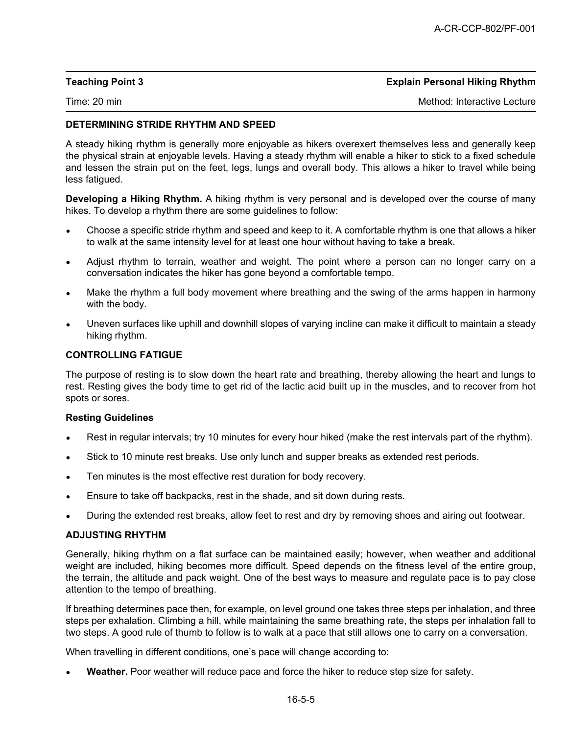## Teaching Point 3 Explain Personal Hiking Rhythm

Time: 20 min Method: Interactive Lecture Communication of the Method: Interactive Lecture

# DETERMINING STRIDE RHYTHM AND SPEED

A steady hiking rhythm is generally more enjoyable as hikers overexert themselves less and generally keep the physical strain at enjoyable levels. Having a steady rhythm will enable a hiker to stick to a fixed schedule and lessen the strain put on the feet, legs, lungs and overall body. This allows a hiker to travel while being less fatigued.

Developing a Hiking Rhythm. A hiking rhythm is very personal and is developed over the course of many hikes. To develop a rhythm there are some guidelines to follow:

- Choose a specific stride rhythm and speed and keep to it. A comfortable rhythm is one that allows a hiker to walk at the same intensity level for at least one hour without having to take a break.
- Adjust rhythm to terrain, weather and weight. The point where a person can no longer carry on a  $\bullet$ conversation indicates the hiker has gone beyond a comfortable tempo.
- Make the rhythm a full body movement where breathing and the swing of the arms happen in harmony with the body.
- Uneven surfaces like uphill and downhill slopes of varying incline can make it difficult to maintain a steady hiking rhythm.

# CONTROLLING FATIGUE

The purpose of resting is to slow down the heart rate and breathing, thereby allowing the heart and lungs to rest. Resting gives the body time to get rid of the lactic acid built up in the muscles, and to recover from hot spots or sores.

# Resting Guidelines

- Rest in regular intervals; try 10 minutes for every hour hiked (make the rest intervals part of the rhythm).
- Stick to 10 minute rest breaks. Use only lunch and supper breaks as extended rest periods.
- Ten minutes is the most effective rest duration for body recovery.
- Ensure to take off backpacks, rest in the shade, and sit down during rests.
- During the extended rest breaks, allow feet to rest and dry by removing shoes and airing out footwear.

# ADJUSTING RHYTHM

Generally, hiking rhythm on a flat surface can be maintained easily; however, when weather and additional weight are included, hiking becomes more difficult. Speed depends on the fitness level of the entire group, the terrain, the altitude and pack weight. One of the best ways to measure and regulate pace is to pay close attention to the tempo of breathing.

If breathing determines pace then, for example, on level ground one takes three steps per inhalation, and three steps per exhalation. Climbing a hill, while maintaining the same breathing rate, the steps per inhalation fall to two steps. A good rule of thumb to follow is to walk at a pace that still allows one to carry on a conversation.

When travelling in different conditions, one's pace will change according to:

Weather. Poor weather will reduce pace and force the hiker to reduce step size for safety.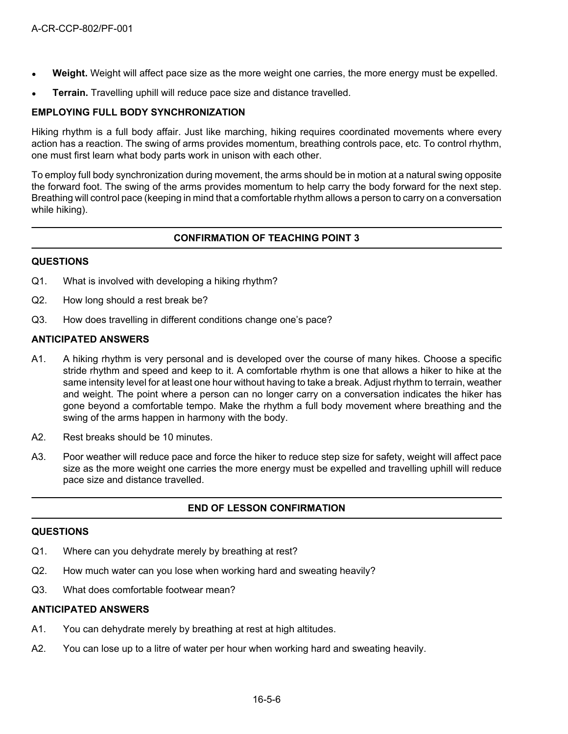- Weight. Weight will affect pace size as the more weight one carries, the more energy must be expelled.
- Terrain. Travelling uphill will reduce pace size and distance travelled.

## EMPLOYING FULL BODY SYNCHRONIZATION

Hiking rhythm is a full body affair. Just like marching, hiking requires coordinated movements where every action has a reaction. The swing of arms provides momentum, breathing controls pace, etc. To control rhythm, one must first learn what body parts work in unison with each other.

To employ full body synchronization during movement, the arms should be in motion at a natural swing opposite the forward foot. The swing of the arms provides momentum to help carry the body forward for the next step. Breathing will control pace (keeping in mind that a comfortable rhythm allows a person to carry on a conversation while hiking).

## CONFIRMATION OF TEACHING POINT 3

## **QUESTIONS**

- Q1. What is involved with developing a hiking rhythm?
- Q2. How long should a rest break be?
- Q3. How does travelling in different conditions change one's pace?

## ANTICIPATED ANSWERS

- A1. A hiking rhythm is very personal and is developed over the course of many hikes. Choose a specific stride rhythm and speed and keep to it. A comfortable rhythm is one that allows a hiker to hike at the same intensity level for at least one hour without having to take a break. Adjust rhythm to terrain, weather and weight. The point where a person can no longer carry on a conversation indicates the hiker has gone beyond a comfortable tempo. Make the rhythm a full body movement where breathing and the swing of the arms happen in harmony with the body.
- A2. Rest breaks should be 10 minutes.
- A3. Poor weather will reduce pace and force the hiker to reduce step size for safety, weight will affect pace size as the more weight one carries the more energy must be expelled and travelling uphill will reduce pace size and distance travelled.

## END OF LESSON CONFIRMATION

### QUESTIONS

- Q1. Where can you dehydrate merely by breathing at rest?
- Q2. How much water can you lose when working hard and sweating heavily?
- Q3. What does comfortable footwear mean?

#### ANTICIPATED ANSWERS

- A1. You can dehydrate merely by breathing at rest at high altitudes.
- A2. You can lose up to a litre of water per hour when working hard and sweating heavily.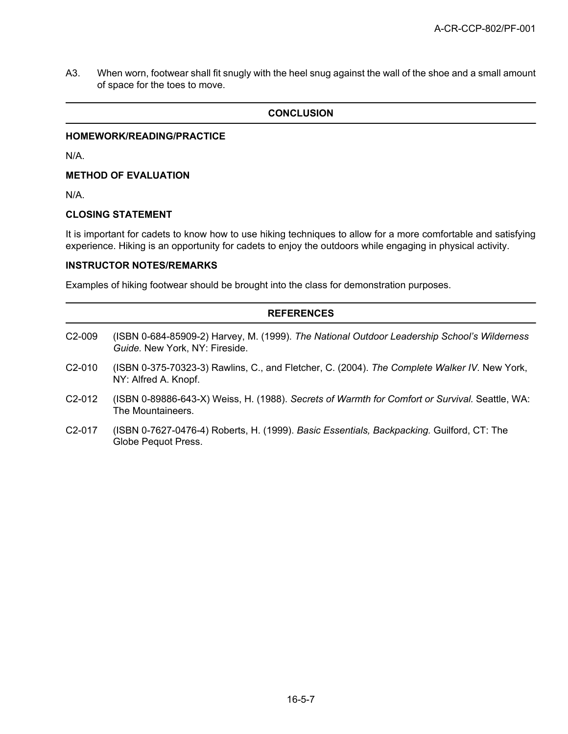A3. When worn, footwear shall fit snugly with the heel snug against the wall of the shoe and a small amount of space for the toes to move.

## **CONCLUSION**

#### HOMEWORK/READING/PRACTICE

N/A.

#### METHOD OF EVALUATION

N/A.

# CLOSING STATEMENT

It is important for cadets to know how to use hiking techniques to allow for a more comfortable and satisfying experience. Hiking is an opportunity for cadets to enjoy the outdoors while engaging in physical activity.

#### INSTRUCTOR NOTES/REMARKS

Examples of hiking footwear should be brought into the class for demonstration purposes.

# REFERENCES

- C2-009 (ISBN 0-684-85909-2) Harvey, M. (1999). The National Outdoor Leadership School's Wilderness Guide. New York, NY: Fireside.
- C2-010 (ISBN 0-375-70323-3) Rawlins, C., and Fletcher, C. (2004). The Complete Walker IV. New York, NY: Alfred A. Knopf.
- C2-012 (ISBN 0-89886-643-X) Weiss, H. (1988). Secrets of Warmth for Comfort or Survival. Seattle, WA: The Mountaineers.
- C2-017 (ISBN 0-7627-0476-4) Roberts, H. (1999). Basic Essentials, Backpacking. Guilford, CT: The Globe Pequot Press.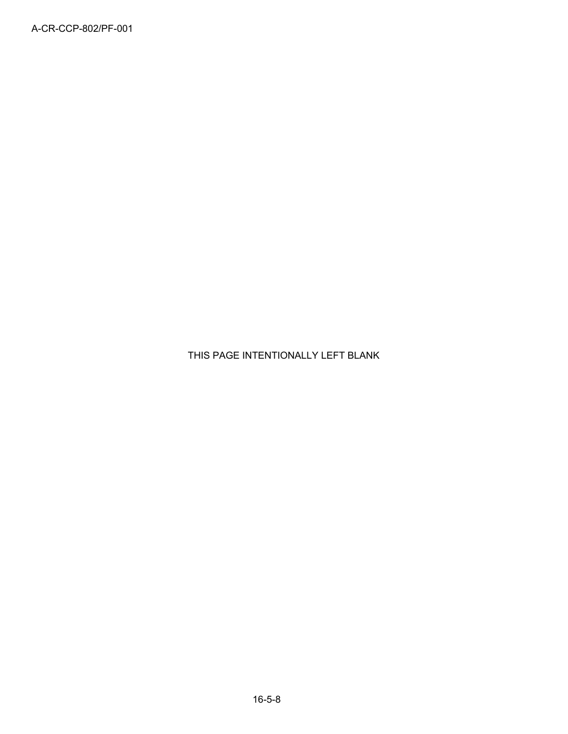THIS PAGE INTENTIONALLY LEFT BLANK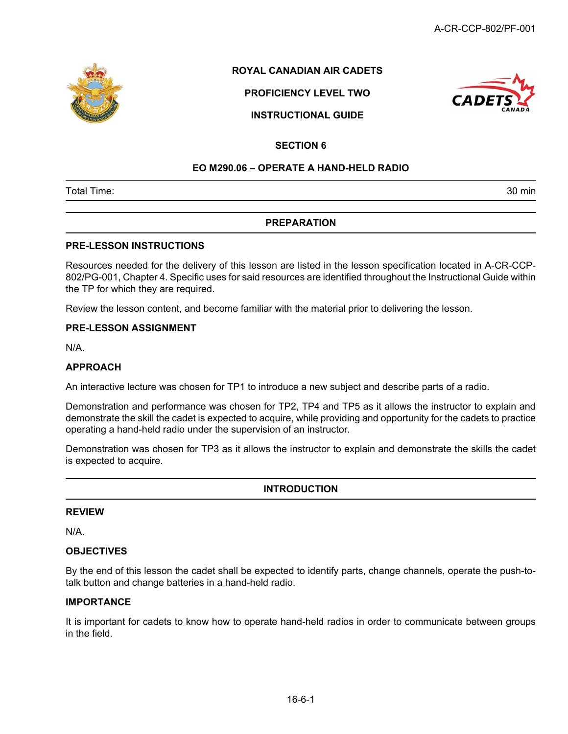

# ROYAL CANADIAN AIR CADETS

# PROFICIENCY LEVEL TWO



INSTRUCTIONAL GUIDE

# SECTION 6

# EO M290.06 – OPERATE A HAND-HELD RADIO

Total Time: 30 min

## PREPARATION

#### PRE-LESSON INSTRUCTIONS

Resources needed for the delivery of this lesson are listed in the lesson specification located in A-CR-CCP-802/PG-001, Chapter 4. Specific uses for said resources are identified throughout the Instructional Guide within the TP for which they are required.

Review the lesson content, and become familiar with the material prior to delivering the lesson.

## PRE-LESSON ASSIGNMENT

N/A.

#### APPROACH

An interactive lecture was chosen for TP1 to introduce a new subject and describe parts of a radio.

Demonstration and performance was chosen for TP2, TP4 and TP5 as it allows the instructor to explain and demonstrate the skill the cadet is expected to acquire, while providing and opportunity for the cadets to practice operating a hand-held radio under the supervision of an instructor.

Demonstration was chosen for TP3 as it allows the instructor to explain and demonstrate the skills the cadet is expected to acquire.

# INTRODUCTION

#### REVIEW

N/A.

# **OBJECTIVES**

By the end of this lesson the cadet shall be expected to identify parts, change channels, operate the push-totalk button and change batteries in a hand-held radio.

#### IMPORTANCE

It is important for cadets to know how to operate hand-held radios in order to communicate between groups in the field.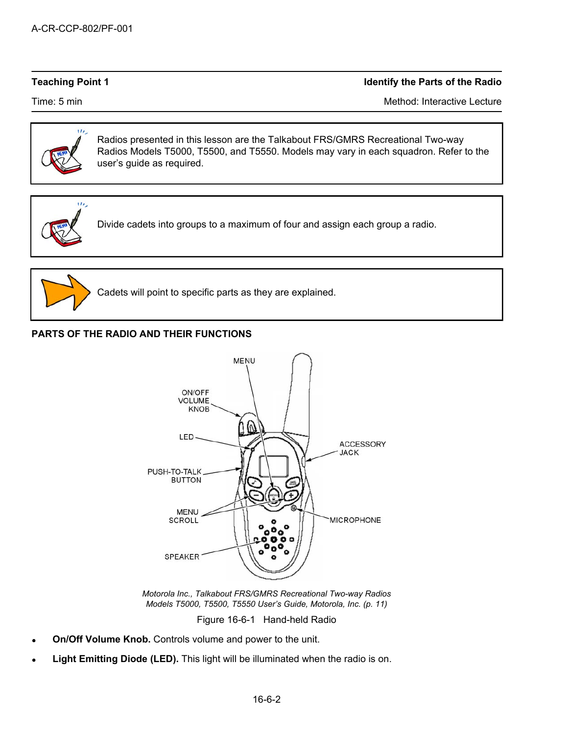# Teaching Point 1 **Identify the Parts of the Radio**

Time: 5 min Method: Interactive Lecture Company of Time: 5 min Method: Interactive Lecture



Radios presented in this lesson are the Talkabout FRS/GMRS Recreational Two-way Radios Models T5000, T5500, and T5550. Models may vary in each squadron. Refer to the user's guide as required.



Divide cadets into groups to a maximum of four and assign each group a radio.



Cadets will point to specific parts as they are explained.

# PARTS OF THE RADIO AND THEIR FUNCTIONS



Motorola Inc., Talkabout FRS/GMRS Recreational Two-way Radios Models T5000, T5500, T5550 User's Guide, Motorola, Inc. (p. 11)

Figure 16-6-1 Hand-held Radio

- On/Off Volume Knob. Controls volume and power to the unit.
- Light Emitting Diode (LED). This light will be illuminated when the radio is on.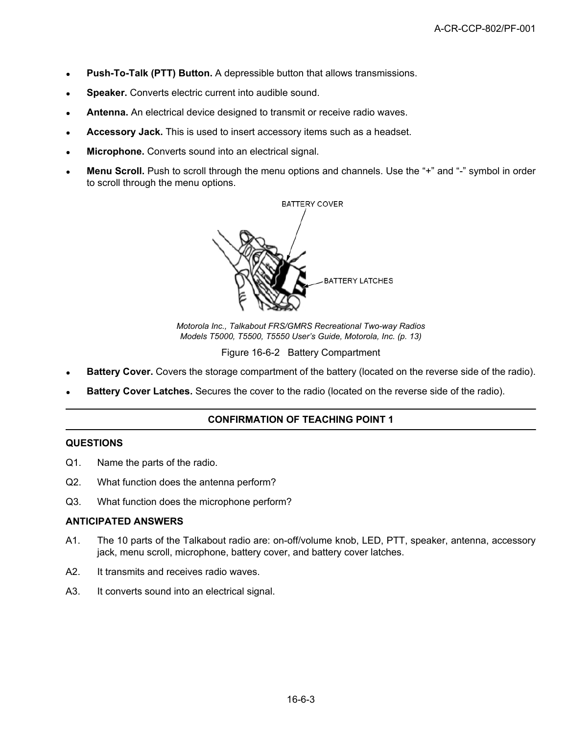- Push-To-Talk (PTT) Button. A depressible button that allows transmissions.
- Speaker. Converts electric current into audible sound.
- Antenna. An electrical device designed to transmit or receive radio waves.
- Accessory Jack. This is used to insert accessory items such as a headset.
- Microphone. Converts sound into an electrical signal.
- Menu Scroll. Push to scroll through the menu options and channels. Use the "+" and "-" symbol in order to scroll through the menu options.



Motorola Inc., Talkabout FRS/GMRS Recreational Two-way Radios Models T5000, T5500, T5550 User's Guide, Motorola, Inc. (p. 13)

Figure 16-6-2 Battery Compartment

- Battery Cover. Covers the storage compartment of the battery (located on the reverse side of the radio).
- Battery Cover Latches. Secures the cover to the radio (located on the reverse side of the radio).

## CONFIRMATION OF TEACHING POINT 1

#### QUESTIONS

- Q1. Name the parts of the radio.
- Q2. What function does the antenna perform?
- Q3. What function does the microphone perform?

#### ANTICIPATED ANSWERS

- A1. The 10 parts of the Talkabout radio are: on-off/volume knob, LED, PTT, speaker, antenna, accessory jack, menu scroll, microphone, battery cover, and battery cover latches.
- A2. It transmits and receives radio waves.
- A3. It converts sound into an electrical signal.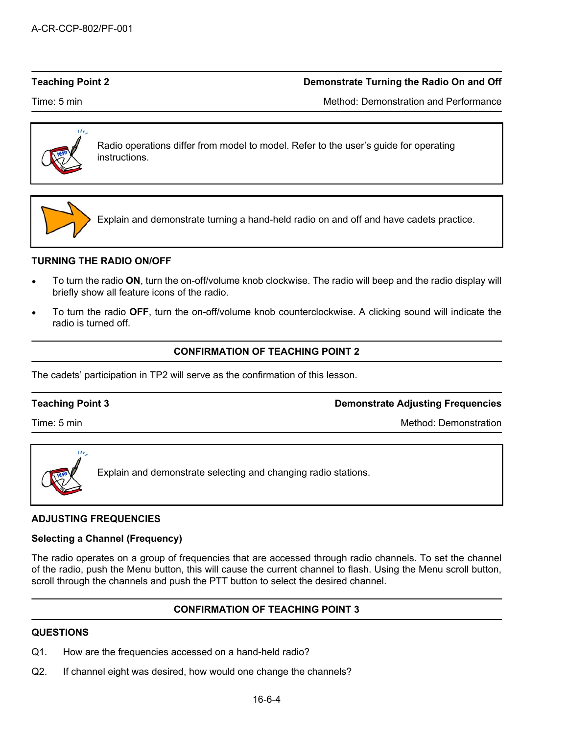# Teaching Point 2 Demonstrate Turning the Radio On and Off

Time: 5 min Method: Demonstration and Performance



Radio operations differ from model to model. Refer to the user's guide for operating instructions.



Explain and demonstrate turning a hand-held radio on and off and have cadets practice.

# TURNING THE RADIO ON/OFF

- To turn the radio ON, turn the on-off/volume knob clockwise. The radio will beep and the radio display will briefly show all feature icons of the radio.
- To turn the radio OFF, turn the on-off/volume knob counterclockwise. A clicking sound will indicate the radio is turned off.

# CONFIRMATION OF TEACHING POINT 2

The cadets' participation in TP2 will serve as the confirmation of this lesson.

## Teaching Point 3 Demonstrate Adjusting Frequencies

Time: 5 min Method: Demonstration and Time: 5 min Method: Demonstration and Method: Demonstration



Explain and demonstrate selecting and changing radio stations.

## ADJUSTING FREQUENCIES

## Selecting a Channel (Frequency)

The radio operates on a group of frequencies that are accessed through radio channels. To set the channel of the radio, push the Menu button, this will cause the current channel to flash. Using the Menu scroll button, scroll through the channels and push the PTT button to select the desired channel.

## CONFIRMATION OF TEACHING POINT 3

# **QUESTIONS**

- Q1. How are the frequencies accessed on a hand-held radio?
- Q2. If channel eight was desired, how would one change the channels?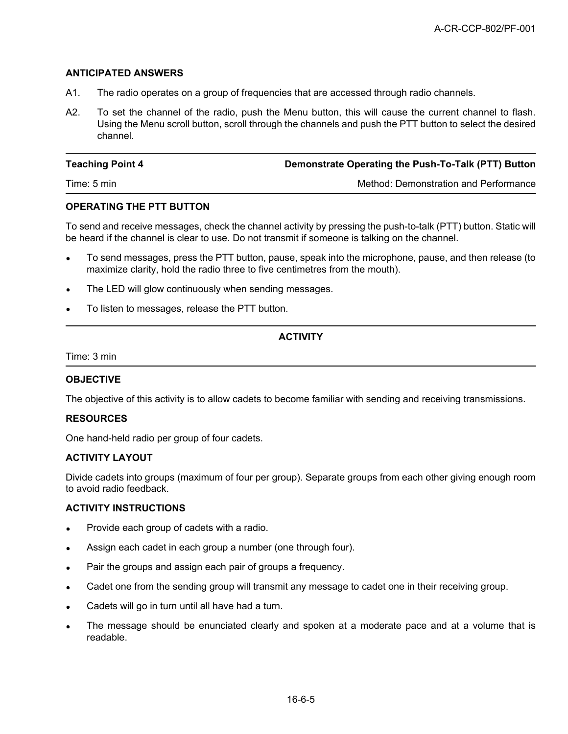#### ANTICIPATED ANSWERS

- A1. The radio operates on a group of frequencies that are accessed through radio channels.
- A2. To set the channel of the radio, push the Menu button, this will cause the current channel to flash. Using the Menu scroll button, scroll through the channels and push the PTT button to select the desired channel.

#### Teaching Point 4 Demonstrate Operating the Push-To-Talk (PTT) Button

Time: 5 min Method: Demonstration and Performance

#### OPERATING THE PTT BUTTON

To send and receive messages, check the channel activity by pressing the push-to-talk (PTT) button. Static will be heard if the channel is clear to use. Do not transmit if someone is talking on the channel.

- To send messages, press the PTT button, pause, speak into the microphone, pause, and then release (to maximize clarity, hold the radio three to five centimetres from the mouth).
- The LED will glow continuously when sending messages.
- To listen to messages, release the PTT button.

# **ACTIVITY**

Time: 3 min

## **OBJECTIVE**

The objective of this activity is to allow cadets to become familiar with sending and receiving transmissions.

## **RESOURCES**

One hand-held radio per group of four cadets.

#### ACTIVITY LAYOUT

Divide cadets into groups (maximum of four per group). Separate groups from each other giving enough room to avoid radio feedback.

#### ACTIVITY INSTRUCTIONS

- Provide each group of cadets with a radio.
- Assign each cadet in each group a number (one through four).
- Pair the groups and assign each pair of groups a frequency.
- Cadet one from the sending group will transmit any message to cadet one in their receiving group.
- Cadets will go in turn until all have had a turn.
- The message should be enunciated clearly and spoken at a moderate pace and at a volume that is readable.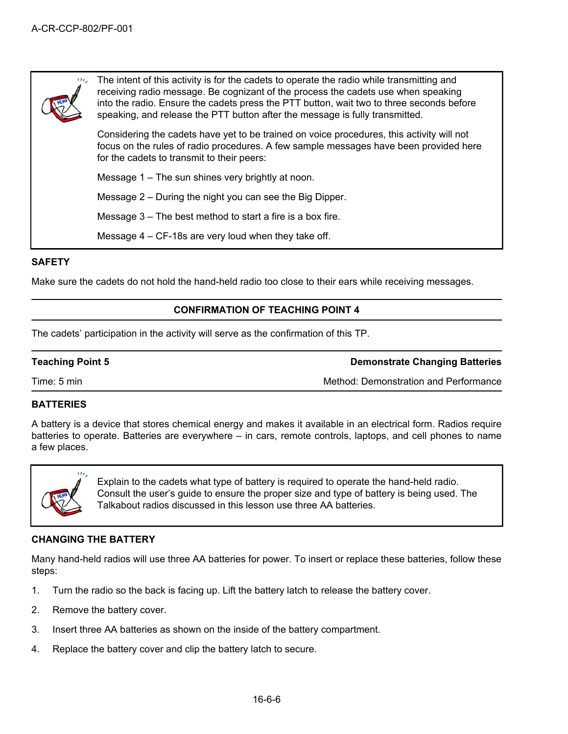

The intent of this activity is for the cadets to operate the radio while transmitting and receiving radio message. Be cognizant of the process the cadets use when speaking into the radio. Ensure the cadets press the PTT button, wait two to three seconds before speaking, and release the PTT button after the message is fully transmitted.

Considering the cadets have yet to be trained on voice procedures, this activity will not focus on the rules of radio procedures. A few sample messages have been provided here for the cadets to transmit to their peers:

Message 1 – The sun shines very brightly at noon.

Message 2 – During the night you can see the Big Dipper.

Message 3 – The best method to start a fire is a box fire.

Message 4 – CF-18s are very loud when they take off.

## **SAFETY**

Make sure the cadets do not hold the hand-held radio too close to their ears while receiving messages.

# CONFIRMATION OF TEACHING POINT 4

The cadets' participation in the activity will serve as the confirmation of this TP.

Teaching Point 5 Demonstrate Changing Batteries

Time: 5 min Method: Demonstration and Performance

## BATTERIES

A battery is a device that stores chemical energy and makes it available in an electrical form. Radios require batteries to operate. Batteries are everywhere – in cars, remote controls, laptops, and cell phones to name a few places.



Explain to the cadets what type of battery is required to operate the hand-held radio. Consult the user's guide to ensure the proper size and type of battery is being used. The Talkabout radios discussed in this lesson use three AA batteries.

# CHANGING THE BATTERY

Many hand-held radios will use three AA batteries for power. To insert or replace these batteries, follow these steps:

- 1. Turn the radio so the back is facing up. Lift the battery latch to release the battery cover.
- 2. Remove the battery cover.
- 3. Insert three AA batteries as shown on the inside of the battery compartment.
- 4. Replace the battery cover and clip the battery latch to secure.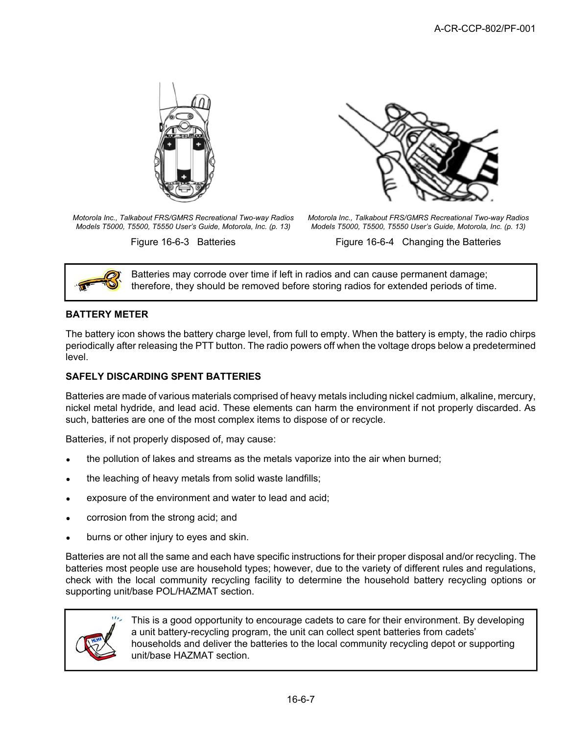



Motorola Inc., Talkabout FRS/GMRS Recreational Two-way Radios Models T5000, T5500, T5550 User's Guide, Motorola, Inc. (p. 13)

Figure 16-6-3 Batteries



Figure 16-6-4 Changing the Batteries



Batteries may corrode over time if left in radios and can cause permanent damage; therefore, they should be removed before storing radios for extended periods of time.

# BATTERY METER

The battery icon shows the battery charge level, from full to empty. When the battery is empty, the radio chirps periodically after releasing the PTT button. The radio powers off when the voltage drops below a predetermined level.

# SAFELY DISCARDING SPENT BATTERIES

Batteries are made of various materials comprised of heavy metals including nickel cadmium, alkaline, mercury, nickel metal hydride, and lead acid. These elements can harm the environment if not properly discarded. As such, batteries are one of the most complex items to dispose of or recycle.

Batteries, if not properly disposed of, may cause:

- the pollution of lakes and streams as the metals vaporize into the air when burned;
- the leaching of heavy metals from solid waste landfills;
- exposure of the environment and water to lead and acid;
- corrosion from the strong acid; and
- burns or other injury to eyes and skin.

Batteries are not all the same and each have specific instructions for their proper disposal and/or recycling. The batteries most people use are household types; however, due to the variety of different rules and regulations, check with the local community recycling facility to determine the household battery recycling options or supporting unit/base POL/HAZMAT section.



This is a good opportunity to encourage cadets to care for their environment. By developing a unit battery-recycling program, the unit can collect spent batteries from cadets' households and deliver the batteries to the local community recycling depot or supporting unit/base HAZMAT section.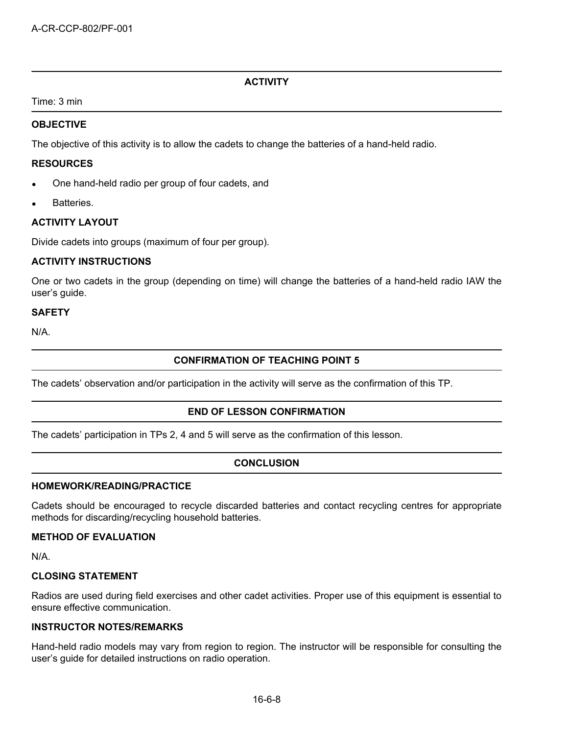# **ACTIVITY**

Time: 3 min

# **OBJECTIVE**

The objective of this activity is to allow the cadets to change the batteries of a hand-held radio.

# RESOURCES

- One hand-held radio per group of four cadets, and
- Batteries.

# ACTIVITY LAYOUT

Divide cadets into groups (maximum of four per group).

## ACTIVITY INSTRUCTIONS

One or two cadets in the group (depending on time) will change the batteries of a hand-held radio IAW the user's guide.

#### **SAFETY**

N/A.

# CONFIRMATION OF TEACHING POINT 5

The cadets' observation and/or participation in the activity will serve as the confirmation of this TP.

## END OF LESSON CONFIRMATION

The cadets' participation in TPs 2, 4 and 5 will serve as the confirmation of this lesson.

## **CONCLUSION**

## HOMEWORK/READING/PRACTICE

Cadets should be encouraged to recycle discarded batteries and contact recycling centres for appropriate methods for discarding/recycling household batteries.

# METHOD OF EVALUATION

N/A.

## CLOSING STATEMENT

Radios are used during field exercises and other cadet activities. Proper use of this equipment is essential to ensure effective communication.

## INSTRUCTOR NOTES/REMARKS

Hand-held radio models may vary from region to region. The instructor will be responsible for consulting the user's guide for detailed instructions on radio operation.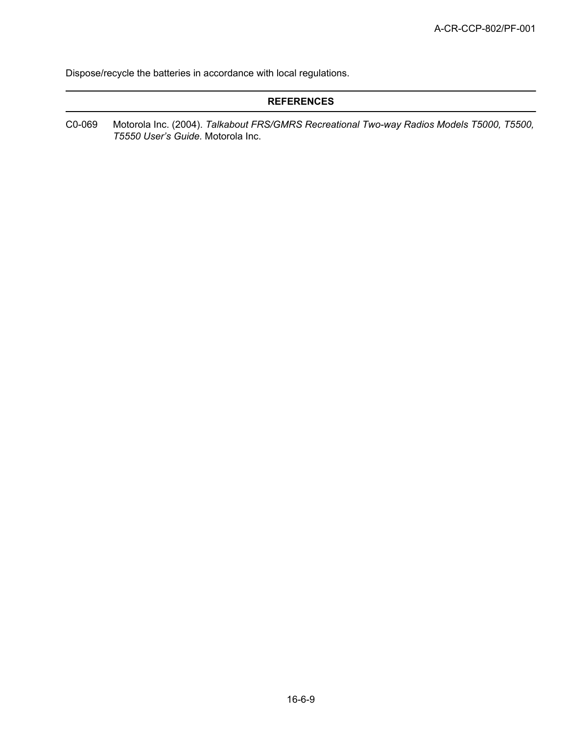Dispose/recycle the batteries in accordance with local regulations.

## REFERENCES

C0-069 Motorola Inc. (2004). Talkabout FRS/GMRS Recreational Two-way Radios Models T5000, T5500, T5550 User's Guide. Motorola Inc.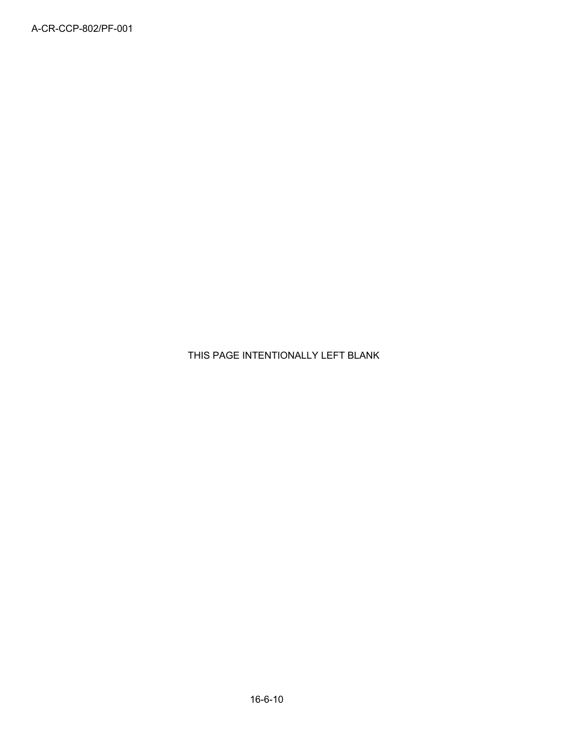THIS PAGE INTENTIONALLY LEFT BLANK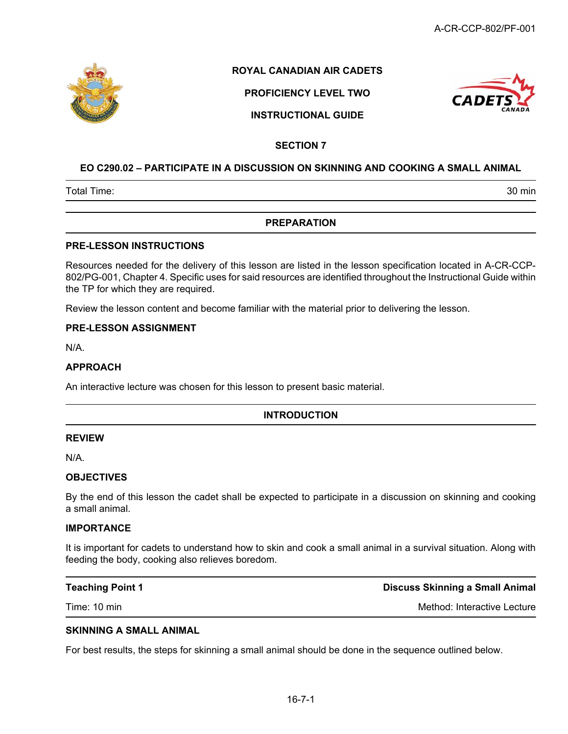

# ROYAL CANADIAN AIR CADETS

PROFICIENCY LEVEL TWO



INSTRUCTIONAL GUIDE SECTION 7

# EO C290.02 – PARTICIPATE IN A DISCUSSION ON SKINNING AND COOKING A SMALL ANIMAL

Total Time: 30 min

# PREPARATION

#### PRE-LESSON INSTRUCTIONS

Resources needed for the delivery of this lesson are listed in the lesson specification located in A-CR-CCP-802/PG-001, Chapter 4. Specific uses for said resources are identified throughout the Instructional Guide within the TP for which they are required.

Review the lesson content and become familiar with the material prior to delivering the lesson.

#### PRE-LESSON ASSIGNMENT

N/A.

#### APPROACH

An interactive lecture was chosen for this lesson to present basic material.

# INTRODUCTION

## REVIEW

N/A.

#### **OBJECTIVES**

By the end of this lesson the cadet shall be expected to participate in a discussion on skinning and cooking a small animal.

#### IMPORTANCE

It is important for cadets to understand how to skin and cook a small animal in a survival situation. Along with feeding the body, cooking also relieves boredom.

| <b>Teaching Point 1</b> | <b>Discuss Skinning a Small Animal</b> |
|-------------------------|----------------------------------------|
| Time: 10 min            | Method: Interactive Lecture            |

# SKINNING A SMALL ANIMAL

For best results, the steps for skinning a small animal should be done in the sequence outlined below.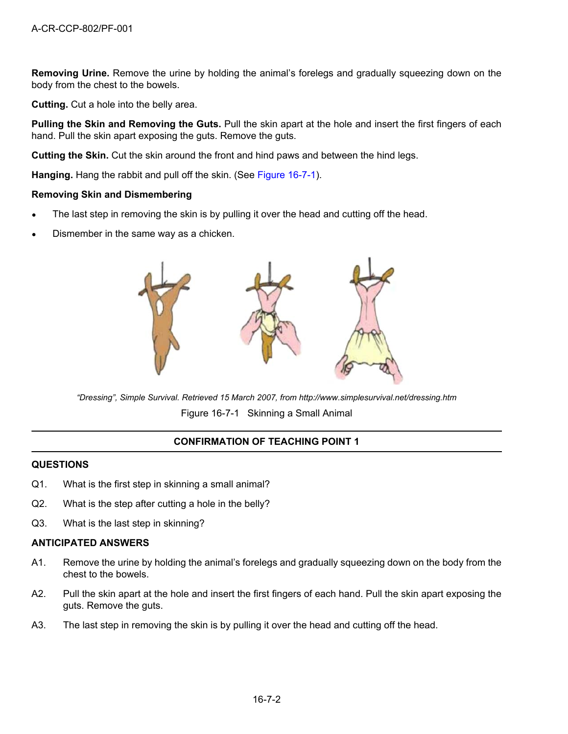Removing Urine. Remove the urine by holding the animal's forelegs and gradually squeezing down on the body from the chest to the bowels.

Cutting. Cut a hole into the belly area.

Pulling the Skin and Removing the Guts. Pull the skin apart at the hole and insert the first fingers of each hand. Pull the skin apart exposing the guts. Remove the guts.

Cutting the Skin. Cut the skin around the front and hind paws and between the hind legs.

Hanging. Hang the rabbit and pull off the skin. (See Figure 16-7-1).

#### Removing Skin and Dismembering

- The last step in removing the skin is by pulling it over the head and cutting off the head.
- Dismember in the same way as a chicken.



"Dressing", Simple Survival. Retrieved 15 March 2007, from http://www.simplesurvival.net/dressing.htm Figure 16-7-1 Skinning a Small Animal

# CONFIRMATION OF TEACHING POINT 1

#### QUESTIONS

- Q1. What is the first step in skinning a small animal?
- Q2. What is the step after cutting a hole in the belly?
- Q3. What is the last step in skinning?

#### ANTICIPATED ANSWERS

- A1. Remove the urine by holding the animal's forelegs and gradually squeezing down on the body from the chest to the bowels.
- A2. Pull the skin apart at the hole and insert the first fingers of each hand. Pull the skin apart exposing the guts. Remove the guts.
- A3. The last step in removing the skin is by pulling it over the head and cutting off the head.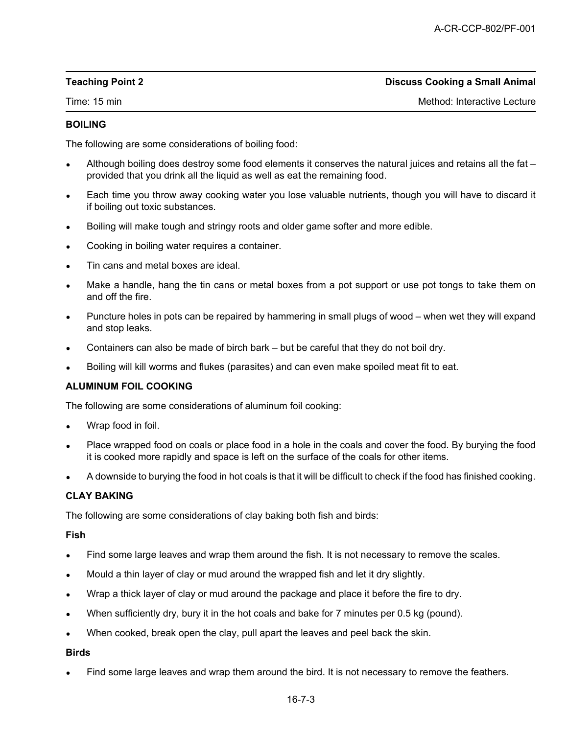## Teaching Point 2 Discuss Cooking a Small Animal

Time: 15 min Method: Interactive Lecture Company of Time: 15 min Method: Interactive Lecture

#### BOILING

The following are some considerations of boiling food:

- Although boiling does destroy some food elements it conserves the natural juices and retains all the fat provided that you drink all the liquid as well as eat the remaining food.
- Each time you throw away cooking water you lose valuable nutrients, though you will have to discard it if boiling out toxic substances.
- Boiling will make tough and stringy roots and older game softer and more edible.
- Cooking in boiling water requires a container.
- Tin cans and metal boxes are ideal.
- Make a handle, hang the tin cans or metal boxes from a pot support or use pot tongs to take them on and off the fire.
- Puncture holes in pots can be repaired by hammering in small plugs of wood when wet they will expand and stop leaks.
- Containers can also be made of birch bark but be careful that they do not boil dry.
- Boiling will kill worms and flukes (parasites) and can even make spoiled meat fit to eat.

## ALUMINUM FOIL COOKING

The following are some considerations of aluminum foil cooking:

- Wrap food in foil.
- Place wrapped food on coals or place food in a hole in the coals and cover the food. By burying the food it is cooked more rapidly and space is left on the surface of the coals for other items.
- A downside to burying the food in hot coals is that it will be difficult to check if the food has finished cooking.

## CLAY BAKING

The following are some considerations of clay baking both fish and birds:

#### Fish

- Find some large leaves and wrap them around the fish. It is not necessary to remove the scales.
- Mould a thin layer of clay or mud around the wrapped fish and let it dry slightly.
- Wrap a thick layer of clay or mud around the package and place it before the fire to dry.
- When sufficiently dry, bury it in the hot coals and bake for 7 minutes per 0.5 kg (pound).
- When cooked, break open the clay, pull apart the leaves and peel back the skin.

#### Birds

Find some large leaves and wrap them around the bird. It is not necessary to remove the feathers.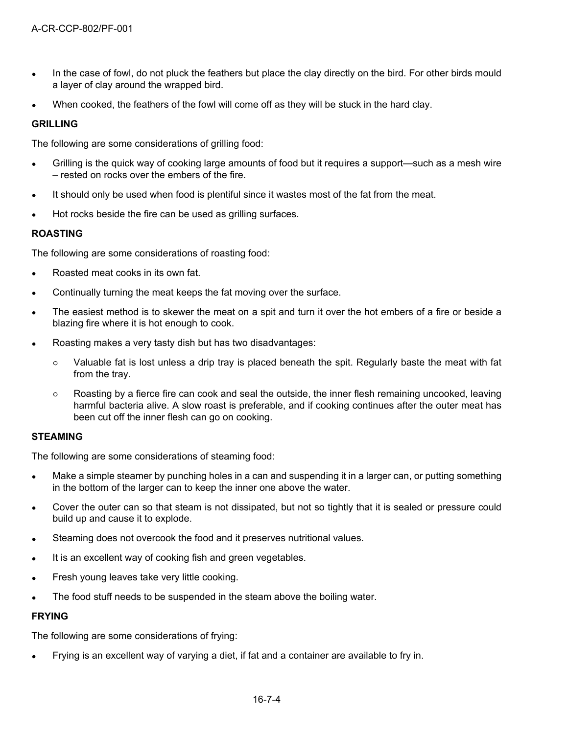- In the case of fowl, do not pluck the feathers but place the clay directly on the bird. For other birds mould a layer of clay around the wrapped bird.
- When cooked, the feathers of the fowl will come off as they will be stuck in the hard clay.

## GRILLING

The following are some considerations of grilling food:

- Grilling is the quick way of cooking large amounts of food but it requires a support—such as a mesh wire – rested on rocks over the embers of the fire.
- It should only be used when food is plentiful since it wastes most of the fat from the meat.
- Hot rocks beside the fire can be used as grilling surfaces.

## ROASTING

The following are some considerations of roasting food:

- Roasted meat cooks in its own fat.
- Continually turning the meat keeps the fat moving over the surface.
- The easiest method is to skewer the meat on a spit and turn it over the hot embers of a fire or beside a blazing fire where it is hot enough to cook.
- Roasting makes a very tasty dish but has two disadvantages:
	- Valuable fat is lost unless a drip tray is placed beneath the spit. Regularly baste the meat with fat  $\circ$ from the tray.
	- Roasting by a fierce fire can cook and seal the outside, the inner flesh remaining uncooked, leaving  $\circ$ harmful bacteria alive. A slow roast is preferable, and if cooking continues after the outer meat has been cut off the inner flesh can go on cooking.

## STEAMING

The following are some considerations of steaming food:

- Make a simple steamer by punching holes in a can and suspending it in a larger can, or putting something in the bottom of the larger can to keep the inner one above the water.
- Cover the outer can so that steam is not dissipated, but not so tightly that it is sealed or pressure could build up and cause it to explode.
- Steaming does not overcook the food and it preserves nutritional values.
- It is an excellent way of cooking fish and green vegetables.
- Fresh young leaves take very little cooking.
- The food stuff needs to be suspended in the steam above the boiling water.

## FRYING

The following are some considerations of frying:

Frying is an excellent way of varying a diet, if fat and a container are available to fry in.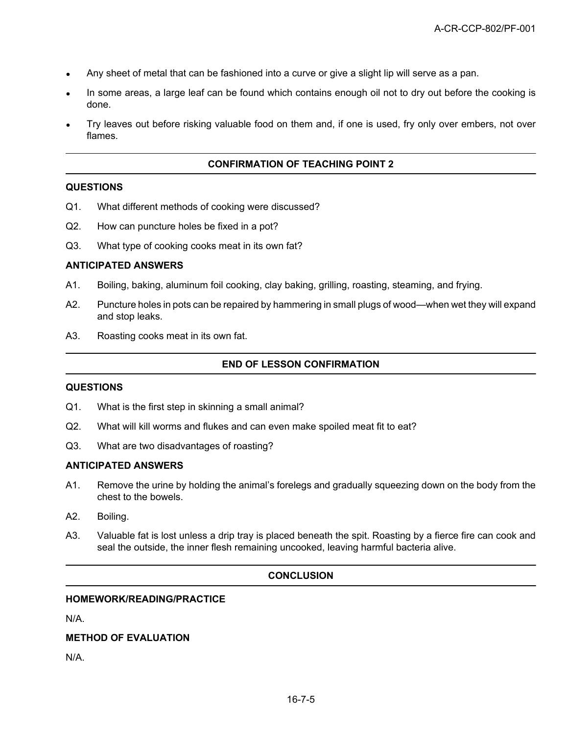- Any sheet of metal that can be fashioned into a curve or give a slight lip will serve as a pan.
- In some areas, a large leaf can be found which contains enough oil not to dry out before the cooking is done.
- Try leaves out before risking valuable food on them and, if one is used, fry only over embers, not over flames.

#### CONFIRMATION OF TEACHING POINT 2

## **QUESTIONS**

- Q1. What different methods of cooking were discussed?
- Q2. How can puncture holes be fixed in a pot?
- Q3. What type of cooking cooks meat in its own fat?

#### ANTICIPATED ANSWERS

- A1. Boiling, baking, aluminum foil cooking, clay baking, grilling, roasting, steaming, and frying.
- A2. Puncture holes in pots can be repaired by hammering in small plugs of wood—when wet they will expand and stop leaks.
- A3. Roasting cooks meat in its own fat.

## END OF LESSON CONFIRMATION

## **QUESTIONS**

- Q1. What is the first step in skinning a small animal?
- Q2. What will kill worms and flukes and can even make spoiled meat fit to eat?
- Q3. What are two disadvantages of roasting?

## ANTICIPATED ANSWERS

- A1. Remove the urine by holding the animal's forelegs and gradually squeezing down on the body from the chest to the bowels.
- A2. Boiling.
- A3. Valuable fat is lost unless a drip tray is placed beneath the spit. Roasting by a fierce fire can cook and seal the outside, the inner flesh remaining uncooked, leaving harmful bacteria alive.

# **CONCLUSION**

#### HOMEWORK/READING/PRACTICE

N/A.

#### METHOD OF EVALUATION

N/A.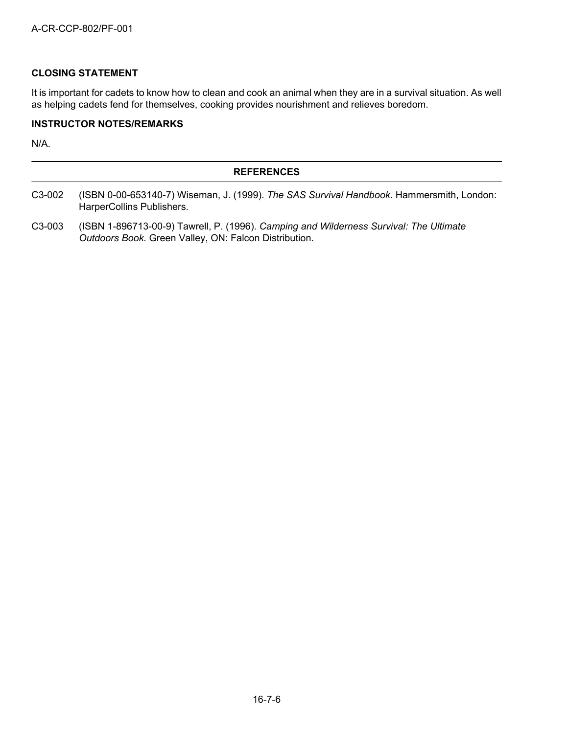# CLOSING STATEMENT

It is important for cadets to know how to clean and cook an animal when they are in a survival situation. As well as helping cadets fend for themselves, cooking provides nourishment and relieves boredom.

# INSTRUCTOR NOTES/REMARKS

N/A.

# REFERENCES

- C3-002 (ISBN 0-00-653140-7) Wiseman, J. (1999). The SAS Survival Handbook. Hammersmith, London: HarperCollins Publishers.
- C3-003 (ISBN 1-896713-00-9) Tawrell, P. (1996). Camping and Wilderness Survival: The Ultimate Outdoors Book. Green Valley, ON: Falcon Distribution.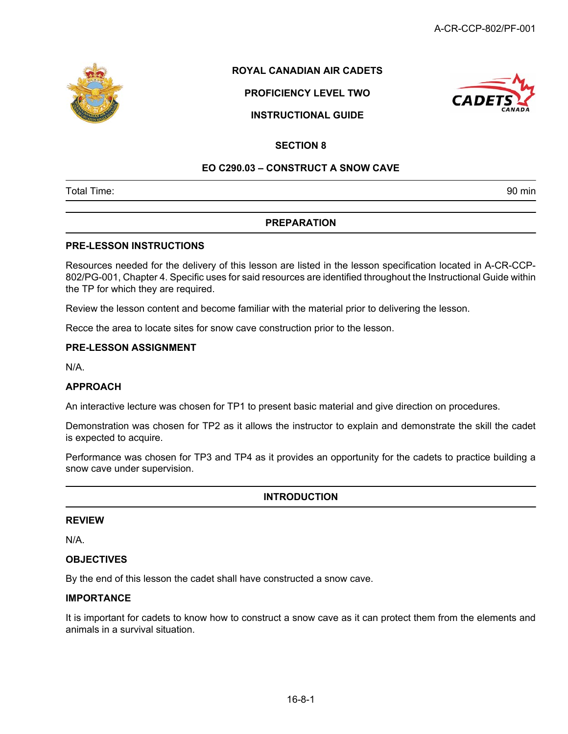

# ROYAL CANADIAN AIR CADETS

# PROFICIENCY LEVEL TWO



INSTRUCTIONAL GUIDE

# SECTION 8

# EO C290.03 – CONSTRUCT A SNOW CAVE

Total Time: 90 min

## PREPARATION

#### PRE-LESSON INSTRUCTIONS

Resources needed for the delivery of this lesson are listed in the lesson specification located in A-CR-CCP-802/PG-001, Chapter 4. Specific uses for said resources are identified throughout the Instructional Guide within the TP for which they are required.

Review the lesson content and become familiar with the material prior to delivering the lesson.

Recce the area to locate sites for snow cave construction prior to the lesson.

#### PRE-LESSON ASSIGNMENT

N/A.

## APPROACH

An interactive lecture was chosen for TP1 to present basic material and give direction on procedures.

Demonstration was chosen for TP2 as it allows the instructor to explain and demonstrate the skill the cadet is expected to acquire.

Performance was chosen for TP3 and TP4 as it provides an opportunity for the cadets to practice building a snow cave under supervision.

## INTRODUCTION

#### REVIEW

N/A.

#### **OBJECTIVES**

By the end of this lesson the cadet shall have constructed a snow cave.

## **IMPORTANCE**

It is important for cadets to know how to construct a snow cave as it can protect them from the elements and animals in a survival situation.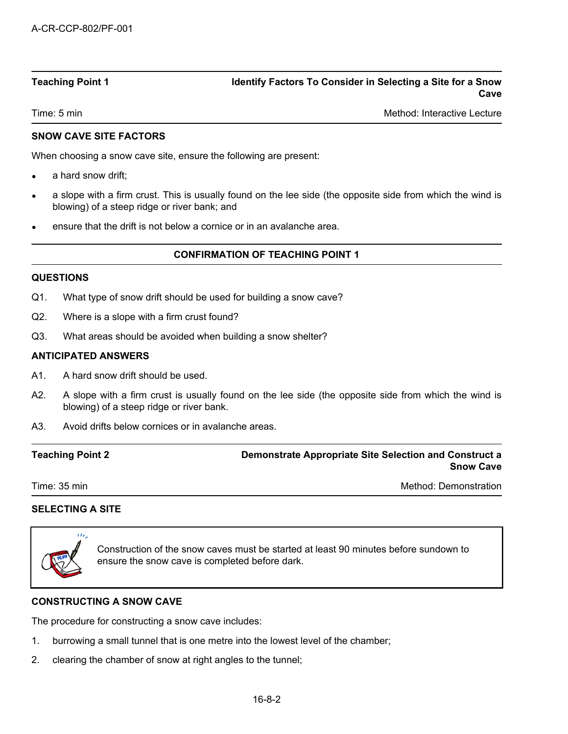# Teaching Point 1 **Interpretity Factors To Consider in Selecting a Site for a Snow** Cave

Time: 5 min Method: Interactive Lecture Company of Time: 5 min Method: Interactive Lecture

## SNOW CAVE SITE FACTORS

When choosing a snow cave site, ensure the following are present:

- a hard snow drift;
- a slope with a firm crust. This is usually found on the lee side (the opposite side from which the wind is blowing) of a steep ridge or river bank; and
- ensure that the drift is not below a cornice or in an avalanche area.

# CONFIRMATION OF TEACHING POINT 1

#### QUESTIONS

- Q1. What type of snow drift should be used for building a snow cave?
- Q2. Where is a slope with a firm crust found?
- Q3. What areas should be avoided when building a snow shelter?

#### ANTICIPATED ANSWERS

- A1. A hard snow drift should be used.
- A2. A slope with a firm crust is usually found on the lee side (the opposite side from which the wind is blowing) of a steep ridge or river bank.
- A3. Avoid drifts below cornices or in avalanche areas.

## Teaching Point 2 Demonstrate Appropriate Site Selection and Construct a Snow Cave

Time: 35 min Method: Demonstration Number of Time: 35 min Method: Demonstration

#### SELECTING A SITE



Construction of the snow caves must be started at least 90 minutes before sundown to ensure the snow cave is completed before dark.

## CONSTRUCTING A SNOW CAVE

The procedure for constructing a snow cave includes:

- 1. burrowing a small tunnel that is one metre into the lowest level of the chamber;
- 2. clearing the chamber of snow at right angles to the tunnel;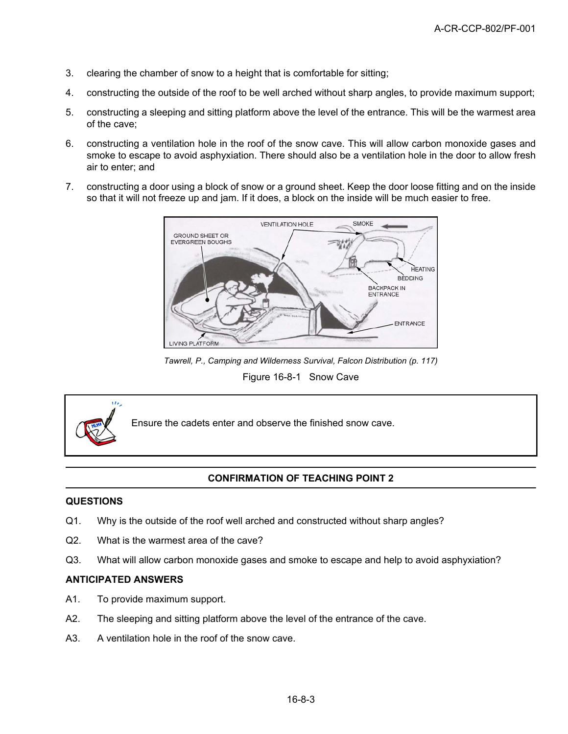- 3. clearing the chamber of snow to a height that is comfortable for sitting;
- 4. constructing the outside of the roof to be well arched without sharp angles, to provide maximum support;
- 5. constructing a sleeping and sitting platform above the level of the entrance. This will be the warmest area of the cave;
- 6. constructing a ventilation hole in the roof of the snow cave. This will allow carbon monoxide gases and smoke to escape to avoid asphyxiation. There should also be a ventilation hole in the door to allow fresh air to enter; and
- 7. constructing a door using a block of snow or a ground sheet. Keep the door loose fitting and on the inside so that it will not freeze up and jam. If it does, a block on the inside will be much easier to free.



Tawrell, P., Camping and Wilderness Survival, Falcon Distribution (p. 117) Figure 16-8-1 Snow Cave



Ensure the cadets enter and observe the finished snow cave.

## CONFIRMATION OF TEACHING POINT 2

#### QUESTIONS

- Q1. Why is the outside of the roof well arched and constructed without sharp angles?
- Q2. What is the warmest area of the cave?
- Q3. What will allow carbon monoxide gases and smoke to escape and help to avoid asphyxiation?

#### ANTICIPATED ANSWERS

- A1. To provide maximum support.
- A2. The sleeping and sitting platform above the level of the entrance of the cave.
- A3. A ventilation hole in the roof of the snow cave.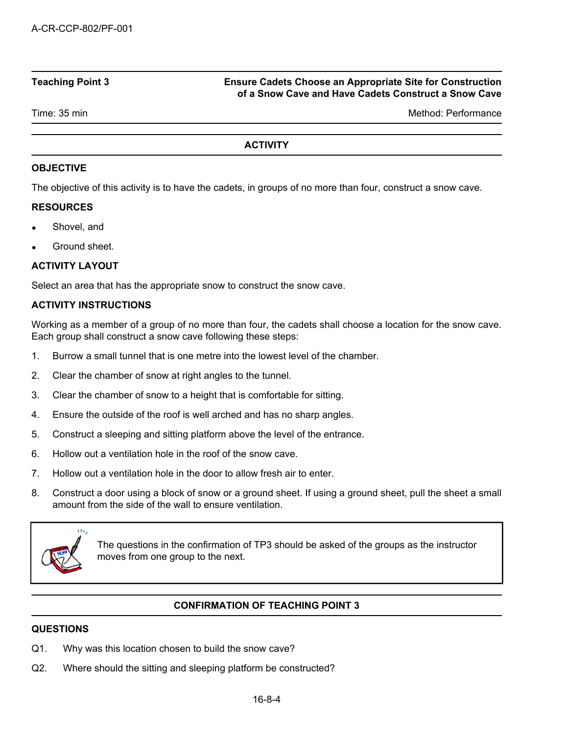# Teaching Point 3 Ensure Cadets Choose an Appropriate Site for Construction of a Snow Cave and Have Cadets Construct a Snow Cave

Time: 35 min Method: Performance

# **ACTIVITY**

#### **OBJECTIVE**

The objective of this activity is to have the cadets, in groups of no more than four, construct a snow cave.

#### RESOURCES

- Shovel, and
- Ground sheet.

## ACTIVITY LAYOUT

Select an area that has the appropriate snow to construct the snow cave.

## ACTIVITY INSTRUCTIONS

Working as a member of a group of no more than four, the cadets shall choose a location for the snow cave. Each group shall construct a snow cave following these steps:

- 1. Burrow a small tunnel that is one metre into the lowest level of the chamber.
- 2. Clear the chamber of snow at right angles to the tunnel.
- 3. Clear the chamber of snow to a height that is comfortable for sitting.
- 4. Ensure the outside of the roof is well arched and has no sharp angles.
- 5. Construct a sleeping and sitting platform above the level of the entrance.
- 6. Hollow out a ventilation hole in the roof of the snow cave.
- 7. Hollow out a ventilation hole in the door to allow fresh air to enter.
- 8. Construct a door using a block of snow or a ground sheet. If using a ground sheet, pull the sheet a small amount from the side of the wall to ensure ventilation.



The questions in the confirmation of TP3 should be asked of the groups as the instructor moves from one group to the next.

## CONFIRMATION OF TEACHING POINT 3

## QUESTIONS

- Q1. Why was this location chosen to build the snow cave?
- Q2. Where should the sitting and sleeping platform be constructed?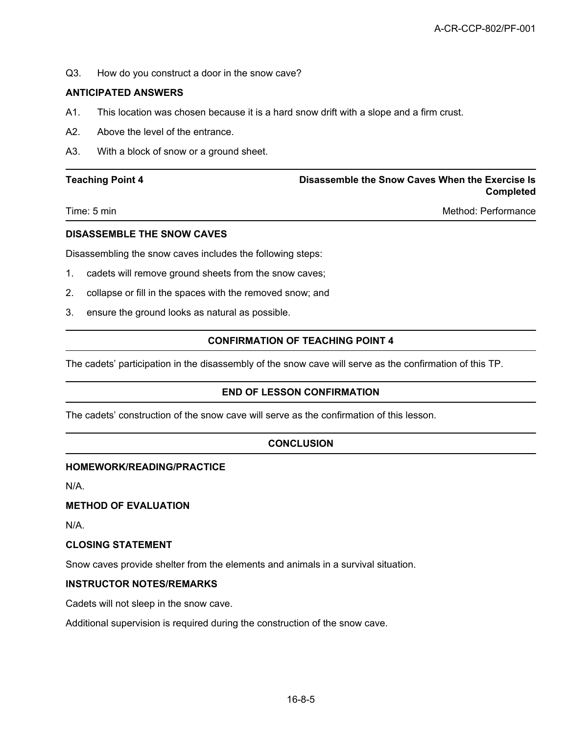Q3. How do you construct a door in the snow cave?

#### ANTICIPATED ANSWERS

- A1. This location was chosen because it is a hard snow drift with a slope and a firm crust.
- A2. Above the level of the entrance.
- A3. With a block of snow or a ground sheet.

| <b>Teaching Point 4</b> | Disassemble the Snow Caves When the Exercise Is |
|-------------------------|-------------------------------------------------|
|                         | <b>Completed</b>                                |
|                         |                                                 |

Time: 5 min Method: Performance

#### DISASSEMBLE THE SNOW CAVES

Disassembling the snow caves includes the following steps:

- 1. cadets will remove ground sheets from the snow caves;
- 2. collapse or fill in the spaces with the removed snow; and
- 3. ensure the ground looks as natural as possible.

## CONFIRMATION OF TEACHING POINT 4

The cadets' participation in the disassembly of the snow cave will serve as the confirmation of this TP.

## END OF LESSON CONFIRMATION

The cadets' construction of the snow cave will serve as the confirmation of this lesson.

# **CONCLUSION**

#### HOMEWORK/READING/PRACTICE

N/A.

#### METHOD OF EVALUATION

N/A.

#### CLOSING STATEMENT

Snow caves provide shelter from the elements and animals in a survival situation.

#### INSTRUCTOR NOTES/REMARKS

Cadets will not sleep in the snow cave.

Additional supervision is required during the construction of the snow cave.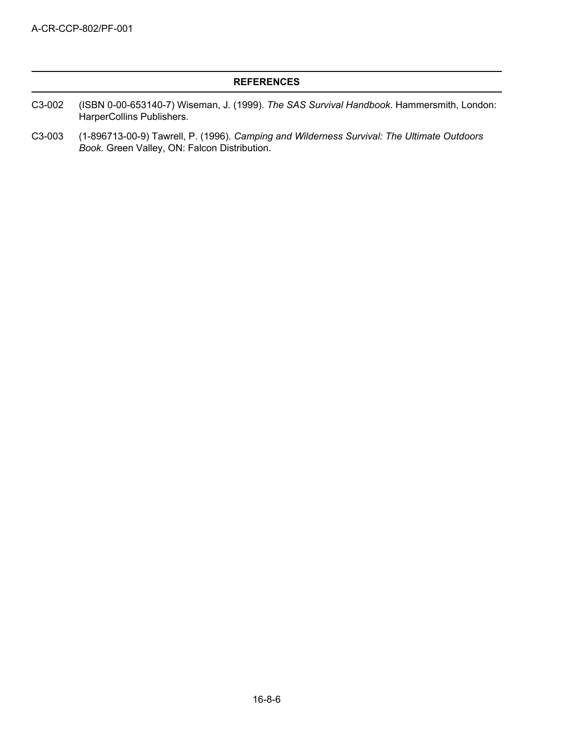|                     | <b>REFERENCES</b>                                                                                                     |
|---------------------|-----------------------------------------------------------------------------------------------------------------------|
| C <sub>3</sub> -002 | (ISBN 0-00-653140-7) Wiseman, J. (1999). The SAS Survival Handbook. Hammersmith, London:<br>HarperCollins Publishers. |

# C3-003 (1-896713-00-9) Tawrell, P. (1996). Camping and Wilderness Survival: The Ultimate Outdoors Book. Green Valley, ON: Falcon Distribution.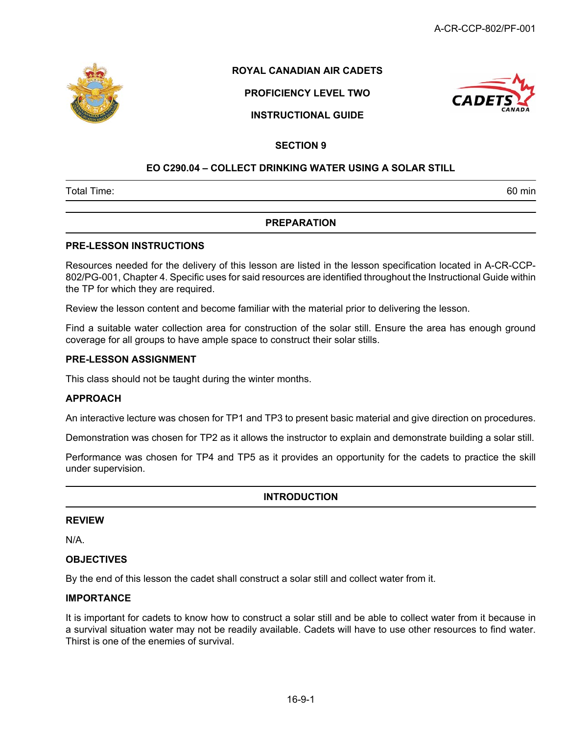

# ROYAL CANADIAN AIR CADETS

PROFICIENCY LEVEL TWO



INSTRUCTIONAL GUIDE

# SECTION 9

# EO C290.04 – COLLECT DRINKING WATER USING A SOLAR STILL

Total Time: 60 min

## PREPARATION

#### PRE-LESSON INSTRUCTIONS

Resources needed for the delivery of this lesson are listed in the lesson specification located in A-CR-CCP-802/PG-001, Chapter 4. Specific uses for said resources are identified throughout the Instructional Guide within the TP for which they are required.

Review the lesson content and become familiar with the material prior to delivering the lesson.

Find a suitable water collection area for construction of the solar still. Ensure the area has enough ground coverage for all groups to have ample space to construct their solar stills.

#### PRE-LESSON ASSIGNMENT

This class should not be taught during the winter months.

# **APPROACH**

An interactive lecture was chosen for TP1 and TP3 to present basic material and give direction on procedures.

Demonstration was chosen for TP2 as it allows the instructor to explain and demonstrate building a solar still.

Performance was chosen for TP4 and TP5 as it provides an opportunity for the cadets to practice the skill under supervision.

## INTRODUCTION

#### REVIEW

N/A.

#### **OBJECTIVES**

By the end of this lesson the cadet shall construct a solar still and collect water from it.

## IMPORTANCE

It is important for cadets to know how to construct a solar still and be able to collect water from it because in a survival situation water may not be readily available. Cadets will have to use other resources to find water. Thirst is one of the enemies of survival.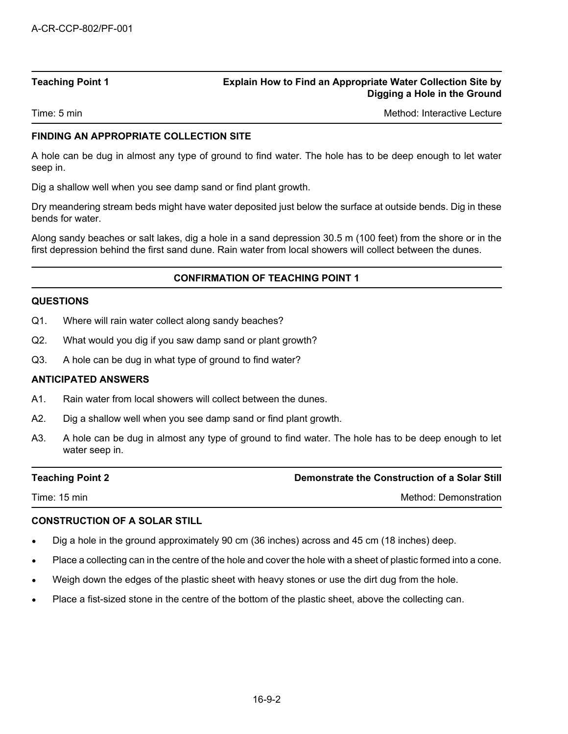# Teaching Point 1 Explain How to Find an Appropriate Water Collection Site by Digging a Hole in the Ground

Time: 5 min Method: Interactive Lecture Companies and Method: Interactive Lecture

# FINDING AN APPROPRIATE COLLECTION SITE

A hole can be dug in almost any type of ground to find water. The hole has to be deep enough to let water seep in.

Dig a shallow well when you see damp sand or find plant growth.

Dry meandering stream beds might have water deposited just below the surface at outside bends. Dig in these bends for water.

Along sandy beaches or salt lakes, dig a hole in a sand depression 30.5 m (100 feet) from the shore or in the first depression behind the first sand dune. Rain water from local showers will collect between the dunes.

# CONFIRMATION OF TEACHING POINT 1

#### **QUESTIONS**

- Q1. Where will rain water collect along sandy beaches?
- Q2. What would you dig if you saw damp sand or plant growth?
- Q3. A hole can be dug in what type of ground to find water?

## ANTICIPATED ANSWERS

- A1. Rain water from local showers will collect between the dunes.
- A2. Dig a shallow well when you see damp sand or find plant growth.
- A3. A hole can be dug in almost any type of ground to find water. The hole has to be deep enough to let water seep in.

| <b>Teaching Point 2</b> | Demonstrate the Construction of a Solar Still |
|-------------------------|-----------------------------------------------|
| Time: 15 min            | Method: Demonstration                         |

## CONSTRUCTION OF A SOLAR STILL

- Dig a hole in the ground approximately 90 cm (36 inches) across and 45 cm (18 inches) deep.
- Place a collecting can in the centre of the hole and cover the hole with a sheet of plastic formed into a cone.
- Weigh down the edges of the plastic sheet with heavy stones or use the dirt dug from the hole.
- Place a fist-sized stone in the centre of the bottom of the plastic sheet, above the collecting can.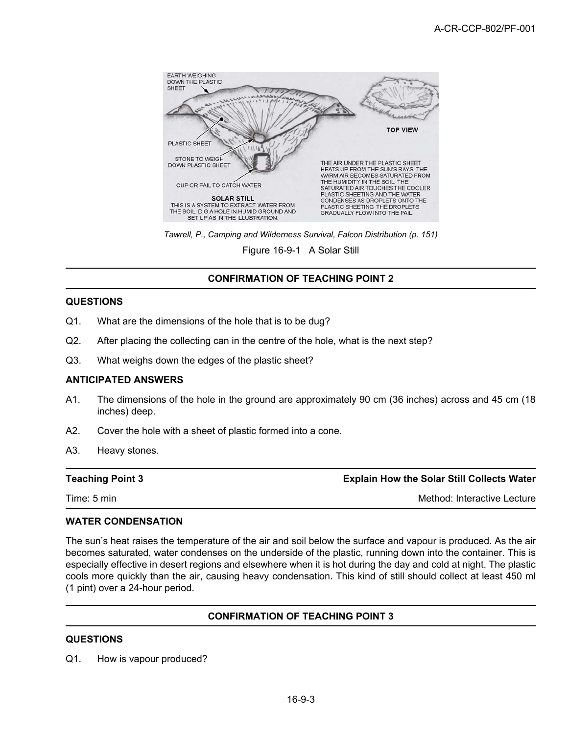

Tawrell, P., Camping and Wilderness Survival, Falcon Distribution (p. 151)

Figure 16-9-1 A Solar Still

# CONFIRMATION OF TEACHING POINT 2

## **QUESTIONS**

- Q1. What are the dimensions of the hole that is to be dug?
- Q2. After placing the collecting can in the centre of the hole, what is the next step?
- Q3. What weighs down the edges of the plastic sheet?

## ANTICIPATED ANSWERS

- A1. The dimensions of the hole in the ground are approximately 90 cm (36 inches) across and 45 cm (18 inches) deep.
- A2. Cover the hole with a sheet of plastic formed into a cone.
- A3. Heavy stones.

Teaching Point 3 Explain How the Solar Still Collects Water

Time: 5 min Method: Interactive Lecture Companies and Method: Interactive Lecture

## WATER CONDENSATION

The sun's heat raises the temperature of the air and soil below the surface and vapour is produced. As the air becomes saturated, water condenses on the underside of the plastic, running down into the container. This is especially effective in desert regions and elsewhere when it is hot during the day and cold at night. The plastic cools more quickly than the air, causing heavy condensation. This kind of still should collect at least 450 ml (1 pint) over a 24-hour period.

## CONFIRMATION OF TEACHING POINT 3

## QUESTIONS

Q1. How is vapour produced?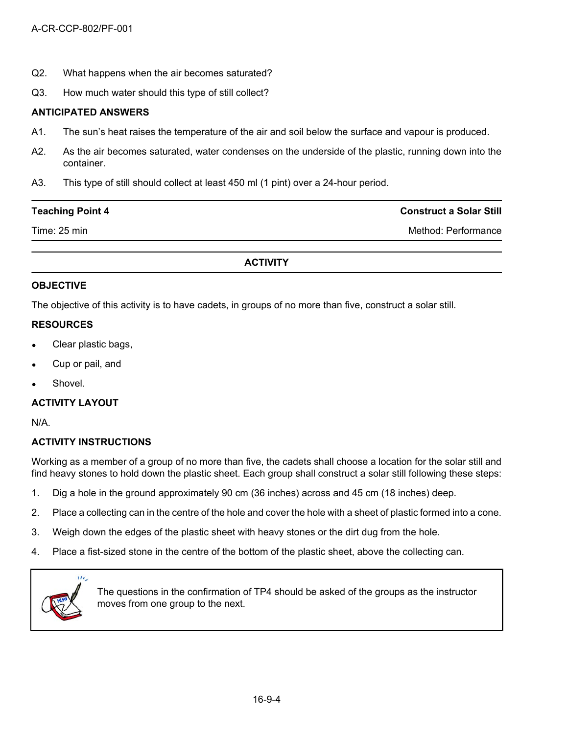- Q2. What happens when the air becomes saturated?
- Q3. How much water should this type of still collect?

#### ANTICIPATED ANSWERS

- A1. The sun's heat raises the temperature of the air and soil below the surface and vapour is produced.
- A2. As the air becomes saturated, water condenses on the underside of the plastic, running down into the container.
- A3. This type of still should collect at least 450 ml (1 pint) over a 24-hour period.

| <b>Teaching Point 4</b> | <b>Construct a Solar Still</b> |
|-------------------------|--------------------------------|
| Time: 25 min            | Method: Performance            |

# **ACTIVITY**

#### **OBJECTIVE**

The objective of this activity is to have cadets, in groups of no more than five, construct a solar still.

#### **RESOURCES**

- Clear plastic bags,
- Cup or pail, and
- Shovel.

# ACTIVITY LAYOUT

N/A.

## ACTIVITY INSTRUCTIONS

Working as a member of a group of no more than five, the cadets shall choose a location for the solar still and find heavy stones to hold down the plastic sheet. Each group shall construct a solar still following these steps:

- 1. Dig a hole in the ground approximately 90 cm (36 inches) across and 45 cm (18 inches) deep.
- 2. Place a collecting can in the centre of the hole and cover the hole with a sheet of plastic formed into a cone.
- 3. Weigh down the edges of the plastic sheet with heavy stones or the dirt dug from the hole.
- 4. Place a fist-sized stone in the centre of the bottom of the plastic sheet, above the collecting can.



The questions in the confirmation of TP4 should be asked of the groups as the instructor moves from one group to the next.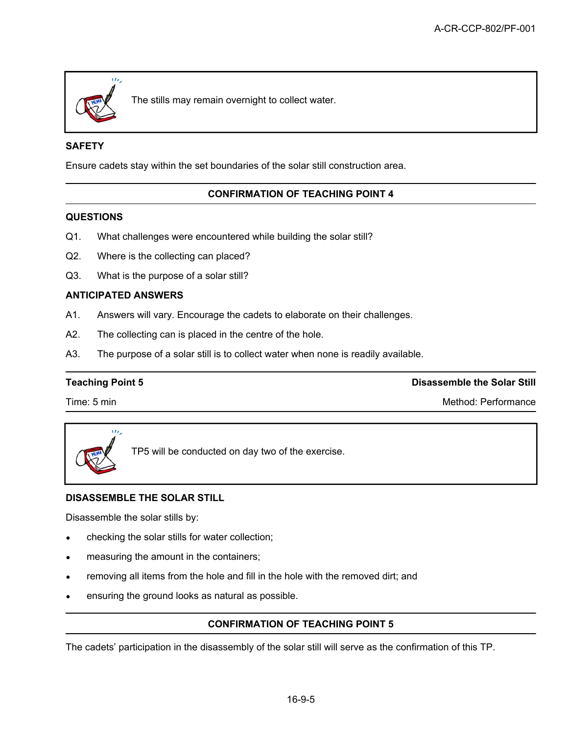

The stills may remain overnight to collect water.

## **SAFETY**

Ensure cadets stay within the set boundaries of the solar still construction area.

# CONFIRMATION OF TEACHING POINT 4

#### **QUESTIONS**

- Q1. What challenges were encountered while building the solar still?
- Q2. Where is the collecting can placed?
- Q3. What is the purpose of a solar still?

## ANTICIPATED ANSWERS

- A1. Answers will vary. Encourage the cadets to elaborate on their challenges.
- A2. The collecting can is placed in the centre of the hole.
- A3. The purpose of a solar still is to collect water when none is readily available.

Teaching Point 5 **Disassemble the Solar Still** 

Time: 5 min Method: Performance



TP5 will be conducted on day two of the exercise.

## DISASSEMBLE THE SOLAR STILL

Disassemble the solar stills by:

- checking the solar stills for water collection;
- measuring the amount in the containers;
- removing all items from the hole and fill in the hole with the removed dirt; and
- ensuring the ground looks as natural as possible.

## CONFIRMATION OF TEACHING POINT 5

The cadets' participation in the disassembly of the solar still will serve as the confirmation of this TP.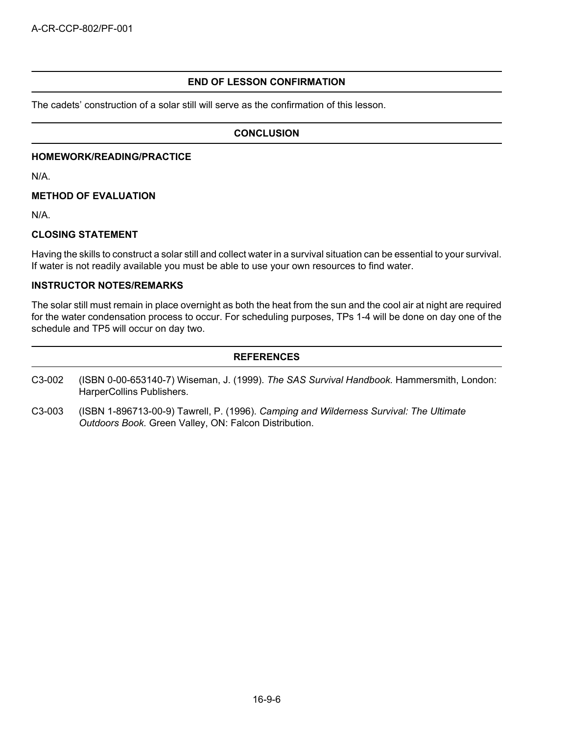# END OF LESSON CONFIRMATION

The cadets' construction of a solar still will serve as the confirmation of this lesson.

#### **CONCLUSION**

#### HOMEWORK/READING/PRACTICE

N/A.

## METHOD OF EVALUATION

N/A.

## CLOSING STATEMENT

Having the skills to construct a solar still and collect water in a survival situation can be essential to your survival. If water is not readily available you must be able to use your own resources to find water.

# INSTRUCTOR NOTES/REMARKS

The solar still must remain in place overnight as both the heat from the sun and the cool air at night are required for the water condensation process to occur. For scheduling purposes, TPs 1-4 will be done on day one of the schedule and TP5 will occur on day two.

#### **REFERENCES**

- C3-002 (ISBN 0-00-653140-7) Wiseman, J. (1999). The SAS Survival Handbook. Hammersmith, London: HarperCollins Publishers.
- C3-003 (ISBN 1-896713-00-9) Tawrell, P. (1996). Camping and Wilderness Survival: The Ultimate Outdoors Book. Green Valley, ON: Falcon Distribution.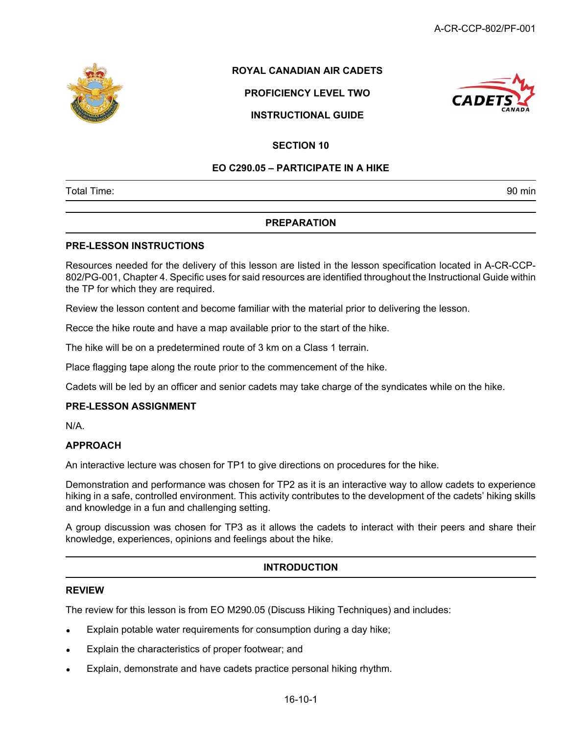

# ROYAL CANADIAN AIR CADETS

PROFICIENCY LEVEL TWO

INSTRUCTIONAL GUIDE



# SECTION 10

# EO C290.05 – PARTICIPATE IN A HIKE

Total Time: 90 min

## PREPARATION

#### PRE-LESSON INSTRUCTIONS

Resources needed for the delivery of this lesson are listed in the lesson specification located in A-CR-CCP-802/PG-001, Chapter 4. Specific uses for said resources are identified throughout the Instructional Guide within the TP for which they are required.

Review the lesson content and become familiar with the material prior to delivering the lesson.

Recce the hike route and have a map available prior to the start of the hike.

The hike will be on a predetermined route of 3 km on a Class 1 terrain.

Place flagging tape along the route prior to the commencement of the hike.

Cadets will be led by an officer and senior cadets may take charge of the syndicates while on the hike.

## PRE-LESSON ASSIGNMENT

N/A.

## APPROACH

An interactive lecture was chosen for TP1 to give directions on procedures for the hike.

Demonstration and performance was chosen for TP2 as it is an interactive way to allow cadets to experience hiking in a safe, controlled environment. This activity contributes to the development of the cadets' hiking skills and knowledge in a fun and challenging setting.

A group discussion was chosen for TP3 as it allows the cadets to interact with their peers and share their knowledge, experiences, opinions and feelings about the hike.

# INTRODUCTION

#### REVIEW

The review for this lesson is from EO M290.05 (Discuss Hiking Techniques) and includes:

- Explain potable water requirements for consumption during a day hike;
- Explain the characteristics of proper footwear; and
- Explain, demonstrate and have cadets practice personal hiking rhythm.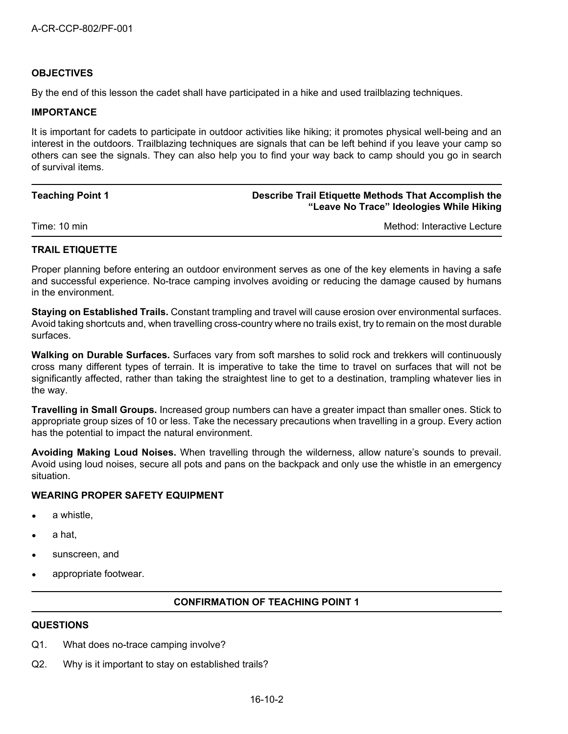## **OBJECTIVES**

By the end of this lesson the cadet shall have participated in a hike and used trailblazing techniques.

#### IMPORTANCE

It is important for cadets to participate in outdoor activities like hiking; it promotes physical well-being and an interest in the outdoors. Trailblazing techniques are signals that can be left behind if you leave your camp so others can see the signals. They can also help you to find your way back to camp should you go in search of survival items.

| <b>Teaching Point 1</b> | Describe Trail Etiquette Methods That Accomplish the<br>"Leave No Trace" Ideologies While Hiking |
|-------------------------|--------------------------------------------------------------------------------------------------|
| Time: 10 min            | Method: Interactive Lecture                                                                      |

## TRAIL ETIQUETTE

Proper planning before entering an outdoor environment serves as one of the key elements in having a safe and successful experience. No-trace camping involves avoiding or reducing the damage caused by humans in the environment.

Staying on Established Trails. Constant trampling and travel will cause erosion over environmental surfaces. Avoid taking shortcuts and, when travelling cross-country where no trails exist, try to remain on the most durable surfaces.

Walking on Durable Surfaces. Surfaces vary from soft marshes to solid rock and trekkers will continuously cross many different types of terrain. It is imperative to take the time to travel on surfaces that will not be significantly affected, rather than taking the straightest line to get to a destination, trampling whatever lies in the way.

Travelling in Small Groups. Increased group numbers can have a greater impact than smaller ones. Stick to appropriate group sizes of 10 or less. Take the necessary precautions when travelling in a group. Every action has the potential to impact the natural environment.

Avoiding Making Loud Noises. When travelling through the wilderness, allow nature's sounds to prevail. Avoid using loud noises, secure all pots and pans on the backpack and only use the whistle in an emergency situation.

#### WEARING PROPER SAFETY EQUIPMENT

- a whistle,
- a hat,
- sunscreen, and
- appropriate footwear.

## CONFIRMATION OF TEACHING POINT 1

## **QUESTIONS**

- Q1. What does no-trace camping involve?
- Q2. Why is it important to stay on established trails?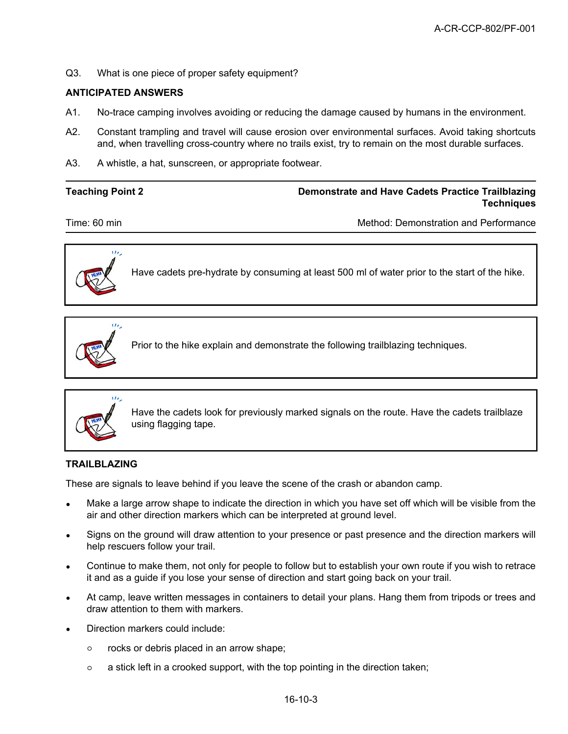Q3. What is one piece of proper safety equipment?

# ANTICIPATED ANSWERS

- A1. No-trace camping involves avoiding or reducing the damage caused by humans in the environment.
- A2. Constant trampling and travel will cause erosion over environmental surfaces. Avoid taking shortcuts and, when travelling cross-country where no trails exist, try to remain on the most durable surfaces.
- A3. A whistle, a hat, sunscreen, or appropriate footwear.

# Teaching Point 2 Demonstrate and Have Cadets Practice Trailblazing **Techniques**

Time: 60 min Method: Demonstration and Performance



Have cadets pre-hydrate by consuming at least 500 ml of water prior to the start of the hike.



Prior to the hike explain and demonstrate the following trailblazing techniques.



Have the cadets look for previously marked signals on the route. Have the cadets trailblaze using flagging tape.

## TRAILBLAZING

These are signals to leave behind if you leave the scene of the crash or abandon camp.

- Make a large arrow shape to indicate the direction in which you have set off which will be visible from the air and other direction markers which can be interpreted at ground level.
- Signs on the ground will draw attention to your presence or past presence and the direction markers will help rescuers follow your trail.
- Continue to make them, not only for people to follow but to establish your own route if you wish to retrace  $\bullet$ it and as a guide if you lose your sense of direction and start going back on your trail.
- At camp, leave written messages in containers to detail your plans. Hang them from tripods or trees and draw attention to them with markers.
- Direction markers could include:
	- $\circ$ rocks or debris placed in an arrow shape;
	- $\circ$ a stick left in a crooked support, with the top pointing in the direction taken;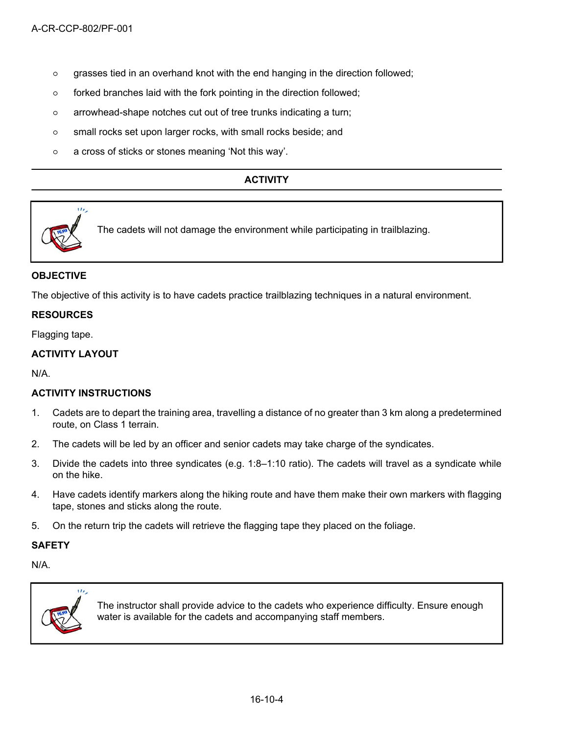- grasses tied in an overhand knot with the end hanging in the direction followed;  $\circ$
- forked branches laid with the fork pointing in the direction followed;  $\circ$
- arrowhead-shape notches cut out of tree trunks indicating a turn;  $\circ$
- $\circ$ small rocks set upon larger rocks, with small rocks beside; and
- $\circ$ a cross of sticks or stones meaning 'Not this way'.

# **ACTIVITY**



The cadets will not damage the environment while participating in trailblazing.

## **OBJECTIVE**

The objective of this activity is to have cadets practice trailblazing techniques in a natural environment.

## **RESOURCES**

Flagging tape.

# ACTIVITY LAYOUT

N/A.

## ACTIVITY INSTRUCTIONS

- 1. Cadets are to depart the training area, travelling a distance of no greater than 3 km along a predetermined route, on Class 1 terrain.
- 2. The cadets will be led by an officer and senior cadets may take charge of the syndicates.
- 3. Divide the cadets into three syndicates (e.g. 1:8–1:10 ratio). The cadets will travel as a syndicate while on the hike.
- 4. Have cadets identify markers along the hiking route and have them make their own markers with flagging tape, stones and sticks along the route.
- 5. On the return trip the cadets will retrieve the flagging tape they placed on the foliage.

## **SAFETY**

N/A.



The instructor shall provide advice to the cadets who experience difficulty. Ensure enough water is available for the cadets and accompanying staff members.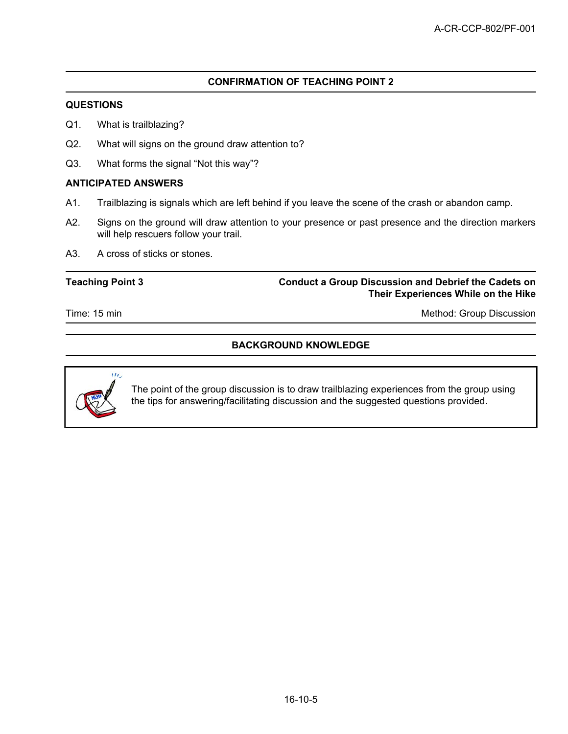## CONFIRMATION OF TEACHING POINT 2

#### **QUESTIONS**

- Q1. What is trailblazing?
- Q2. What will signs on the ground draw attention to?
- Q3. What forms the signal "Not this way"?

#### ANTICIPATED ANSWERS

- A1. Trailblazing is signals which are left behind if you leave the scene of the crash or abandon camp.
- A2. Signs on the ground will draw attention to your presence or past presence and the direction markers will help rescuers follow your trail.
- A3. A cross of sticks or stones.

# Teaching Point 3 Conduct a Group Discussion and Debrief the Cadets on Their Experiences While on the Hike

Time: 15 min Method: Group Discussion

#### BACKGROUND KNOWLEDGE



The point of the group discussion is to draw trailblazing experiences from the group using the tips for answering/facilitating discussion and the suggested questions provided.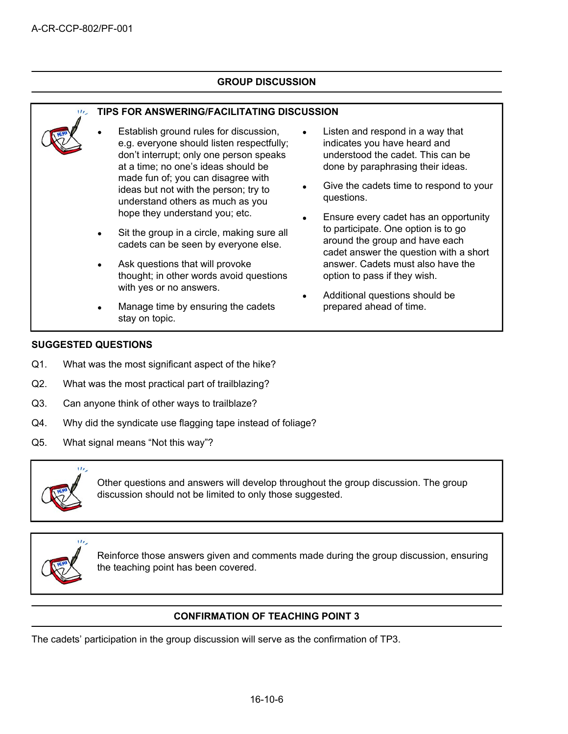# GROUP DISCUSSION

to your

| $\mathcal{U}_{\mathcal{F}_{\mathcal{A}}}$ | TIPS FOR ANSWERING/FACILITATING DISCUSSION                                                                                                                                                                                                                                                                                                                                                                                                                                                                                                                                        |                                                                                                                                                                                                                                                                                                                                                                                                                                                                                                   |
|-------------------------------------------|-----------------------------------------------------------------------------------------------------------------------------------------------------------------------------------------------------------------------------------------------------------------------------------------------------------------------------------------------------------------------------------------------------------------------------------------------------------------------------------------------------------------------------------------------------------------------------------|---------------------------------------------------------------------------------------------------------------------------------------------------------------------------------------------------------------------------------------------------------------------------------------------------------------------------------------------------------------------------------------------------------------------------------------------------------------------------------------------------|
|                                           | Establish ground rules for discussion,<br>e.g. everyone should listen respectfully;<br>don't interrupt; only one person speaks<br>at a time; no one's ideas should be<br>made fun of; you can disagree with<br>ideas but not with the person; try to<br>understand others as much as you<br>hope they understand you; etc.<br>Sit the group in a circle, making sure all<br>cadets can be seen by everyone else.<br>Ask questions that will provoke<br>thought; in other words avoid questions<br>with yes or no answers.<br>Manage time by ensuring the cadets<br>stay on topic. | Listen and respond in a way that<br>indicates you have heard and<br>understood the cadet. This can be<br>done by paraphrasing their ideas.<br>Give the cadets time to respond to your<br>questions.<br>Ensure every cadet has an opportunity<br>to participate. One option is to go<br>around the group and have each<br>cadet answer the question with a short<br>answer. Cadets must also have the<br>option to pass if they wish.<br>Additional questions should be<br>prepared ahead of time. |
|                                           |                                                                                                                                                                                                                                                                                                                                                                                                                                                                                                                                                                                   |                                                                                                                                                                                                                                                                                                                                                                                                                                                                                                   |

# SUGGESTED QUESTIONS

- Q1. What was the most significant aspect of the hike?
- Q2. What was the most practical part of trailblazing?
- Q3. Can anyone think of other ways to trailblaze?
- Q4. Why did the syndicate use flagging tape instead of foliage?
- Q5. What signal means "Not this way"?



Other questions and answers will develop throughout the group discussion. The group discussion should not be limited to only those suggested.



Reinforce those answers given and comments made during the group discussion, ensuring the teaching point has been covered.

# CONFIRMATION OF TEACHING POINT 3

The cadets' participation in the group discussion will serve as the confirmation of TP3.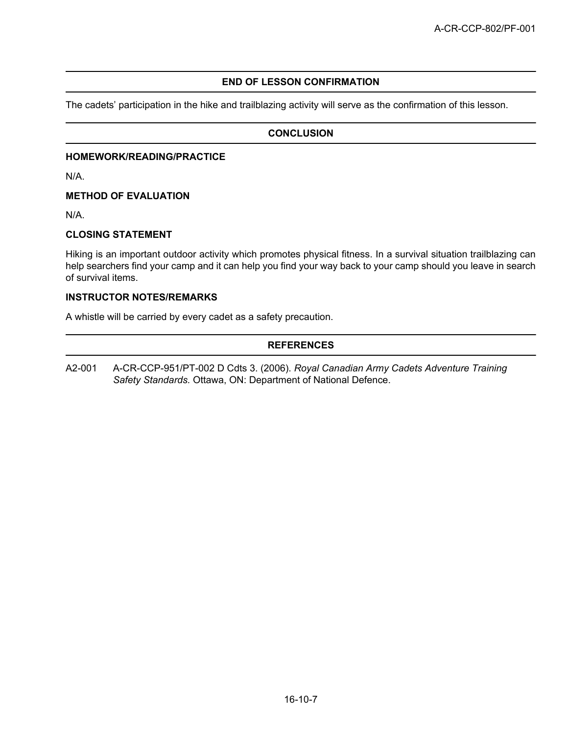## END OF LESSON CONFIRMATION

The cadets' participation in the hike and trailblazing activity will serve as the confirmation of this lesson.

## **CONCLUSION**

#### HOMEWORK/READING/PRACTICE

N/A.

#### METHOD OF EVALUATION

N/A.

## CLOSING STATEMENT

Hiking is an important outdoor activity which promotes physical fitness. In a survival situation trailblazing can help searchers find your camp and it can help you find your way back to your camp should you leave in search of survival items.

# INSTRUCTOR NOTES/REMARKS

A whistle will be carried by every cadet as a safety precaution.

#### **REFERENCES**

A2-001 A-CR-CCP-951/PT-002 D Cdts 3. (2006). Royal Canadian Army Cadets Adventure Training Safety Standards. Ottawa, ON: Department of National Defence.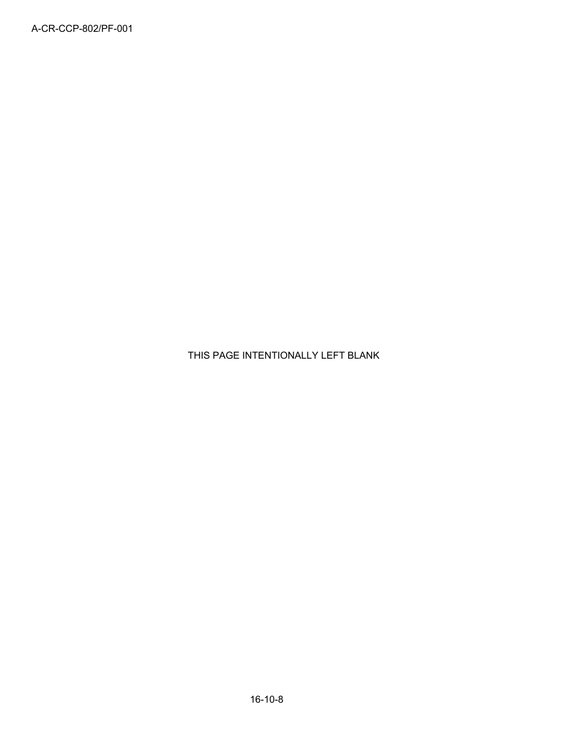THIS PAGE INTENTIONALLY LEFT BLANK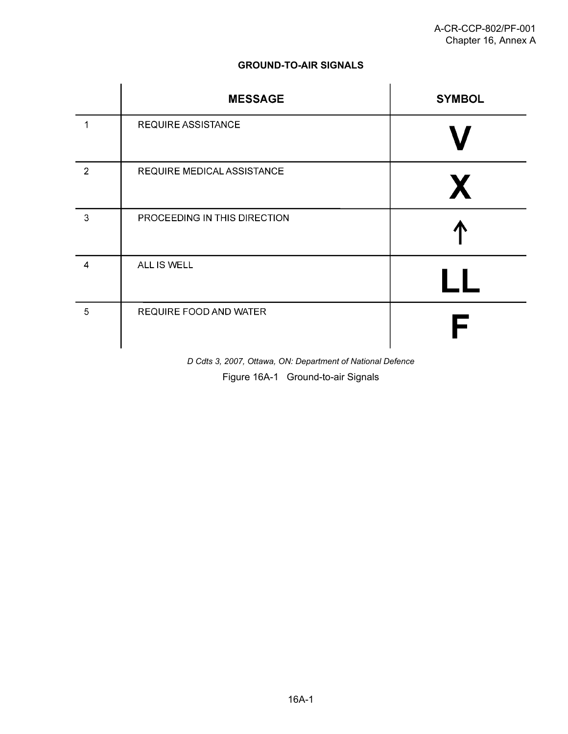# GROUND-TO-AIR SIGNALS

|                | <b>MESSAGE</b>                                             | <b>SYMBOL</b> |
|----------------|------------------------------------------------------------|---------------|
|                | <b>REQUIRE ASSISTANCE</b>                                  |               |
| $\overline{2}$ | REQUIRE MEDICAL ASSISTANCE                                 | X             |
| 3              | PROCEEDING IN THIS DIRECTION                               |               |
| $\overline{4}$ | ALL IS WELL                                                |               |
| 5              | REQUIRE FOOD AND WATER                                     | F             |
|                | D Cdts 3, 2007, Ottawa, ON: Department of National Defence |               |

Figure 16A-1 Ground-to-air Signals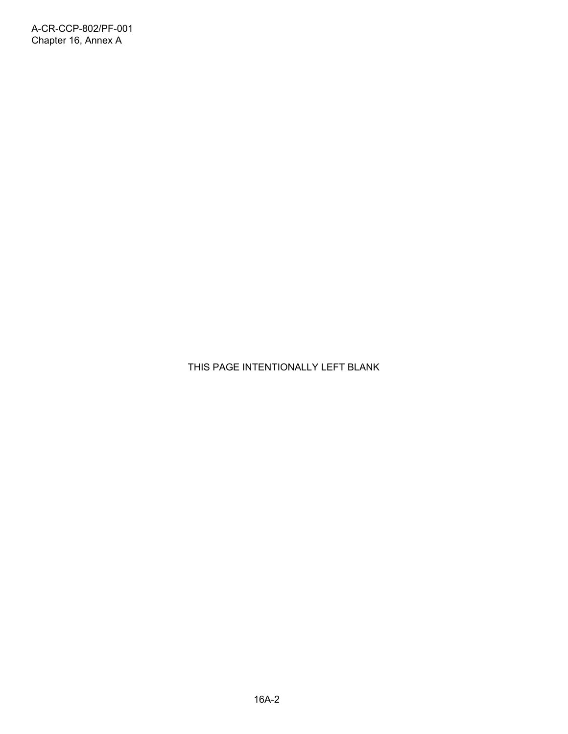THIS PAGE INTENTIONALLY LEFT BLANK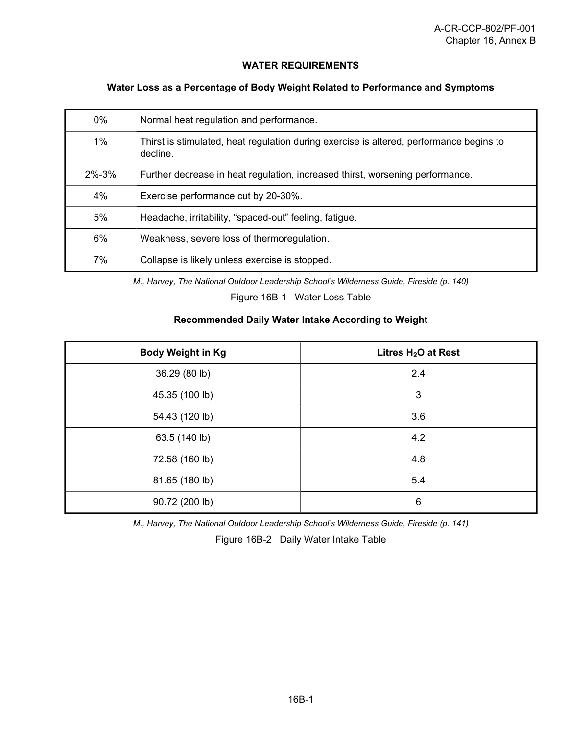## WATER REQUIREMENTS

# Water Loss as a Percentage of Body Weight Related to Performance and Symptoms

| $0\%$       | Normal heat regulation and performance.                                                             |
|-------------|-----------------------------------------------------------------------------------------------------|
| $1\%$       | Thirst is stimulated, heat regulation during exercise is altered, performance begins to<br>decline. |
| $2\% - 3\%$ | Further decrease in heat regulation, increased thirst, worsening performance.                       |
| 4%          | Exercise performance cut by 20-30%.                                                                 |
| 5%          | Headache, irritability, "spaced-out" feeling, fatigue.                                              |
| 6%          | Weakness, severe loss of thermoregulation.                                                          |
| 7%          | Collapse is likely unless exercise is stopped.                                                      |

M., Harvey, The National Outdoor Leadership School's Wilderness Guide, Fireside (p. 140)

Figure 16B-1 Water Loss Table

#### Recommended Daily Water Intake According to Weight

| Body Weight in Kg | Litres H <sub>2</sub> O at Rest |
|-------------------|---------------------------------|
| 36.29 (80 lb)     | 2.4                             |
| 45.35 (100 lb)    | 3                               |
| 54.43 (120 lb)    | 3.6                             |
| 63.5 (140 lb)     | 4.2                             |
| 72.58 (160 lb)    | 4.8                             |
| 81.65 (180 lb)    | 5.4                             |
| 90.72 (200 lb)    | 6                               |

M., Harvey, The National Outdoor Leadership School's Wilderness Guide, Fireside (p. 141)

Figure 16B-2 Daily Water Intake Table